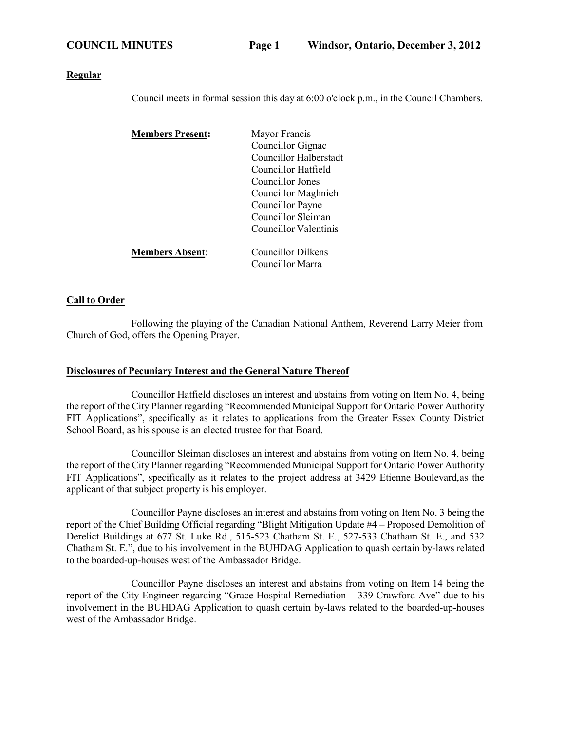### **Regular**

Council meets in formal session this day at 6:00 o'clock p.m., in the Council Chambers.

| <b>Members Present:</b> | Mayor Francis          |
|-------------------------|------------------------|
|                         | Councillor Gignac      |
|                         | Councillor Halberstadt |
|                         | Councillor Hatfield    |
|                         | Councillor Jones       |
|                         | Councillor Maghnieh    |
|                         | Councillor Payne       |
|                         | Councillor Sleiman     |
|                         | Councillor Valentinis  |
|                         |                        |
| <b>Members Absent:</b>  | Councillor Dilkens     |
|                         | Councillor Marra       |

## **Call to Order**

Following the playing of the Canadian National Anthem, Reverend Larry Meier from Church of God, offers the Opening Prayer.

### **Disclosures of Pecuniary Interest and the General Nature Thereof**

Councillor Hatfield discloses an interest and abstains from voting on Item No. 4, being the report of the City Planner regarding "Recommended Municipal Support for Ontario Power Authority FIT Applications", specifically as it relates to applications from the Greater Essex County District School Board, as his spouse is an elected trustee for that Board.

Councillor Sleiman discloses an interest and abstains from voting on Item No. 4, being the report of the City Planner regarding "Recommended Municipal Support for Ontario Power Authority FIT Applications", specifically as it relates to the project address at 3429 Etienne Boulevard,as the applicant of that subject property is his employer.

Councillor Payne discloses an interest and abstains from voting on Item No. 3 being the report of the Chief Building Official regarding "Blight Mitigation Update #4 – Proposed Demolition of Derelict Buildings at 677 St. Luke Rd., 515-523 Chatham St. E., 527-533 Chatham St. E., and 532 Chatham St. E.", due to his involvement in the BUHDAG Application to quash certain by-laws related to the boarded-up-houses west of the Ambassador Bridge.

Councillor Payne discloses an interest and abstains from voting on Item 14 being the report of the City Engineer regarding "Grace Hospital Remediation – 339 Crawford Ave" due to his involvement in the BUHDAG Application to quash certain by-laws related to the boarded-up-houses west of the Ambassador Bridge.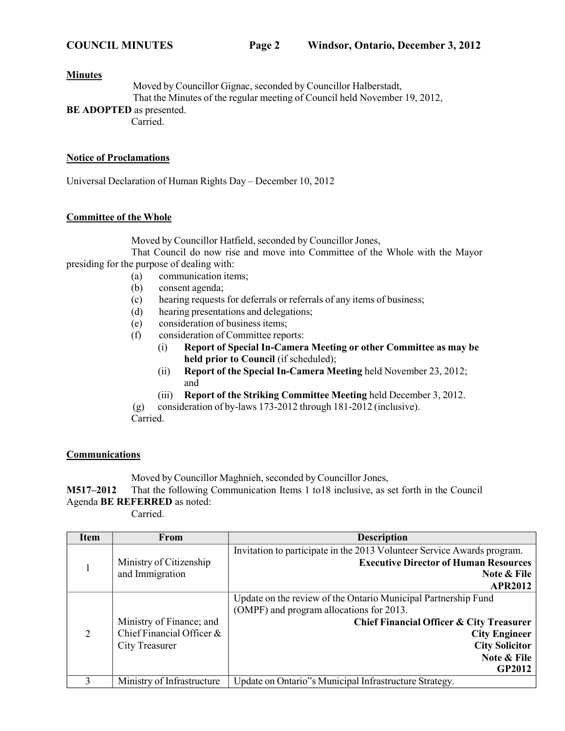### **Minutes**

Moved by Councillor Gignac, seconded by Councillor Halberstadt, That the Minutes of the regular meeting of Council held November 19, 2012,

**BE ADOPTED** as presented.

Carried.

## **Notice of Proclamations**

Universal Declaration of Human Rights Day – December 10, 2012

# **Committee of the Whole**

Moved by Councillor Hatfield, seconded by Councillor Jones,

That Council do now rise and move into Committee of the Whole with the Mayor presiding for the purpose of dealing with:

- (a) communication items;
- (b) consent agenda;
- (c) hearing requests for deferrals or referrals of any items of business;
- (d) hearing presentations and delegations;
- (e) consideration of business items;
- (f) consideration of Committee reports:
	- (i) **Report of Special In-Camera Meeting or other Committee as may be held prior to Council** (if scheduled);
	- (ii) **Report of the Special In-Camera Meeting** held November 23, 2012; and
	- (iii) **Report of the Striking Committee Meeting** held December 3, 2012.

(g) consideration of by-laws 173-2012 through 181-2012 (inclusive).

Carried.

# **Communications**

Moved by Councillor Maghnieh, seconded by Councillor Jones,

**M517–2012** That the following Communication Items 1 to18 inclusive, as set forth in the Council Agenda **BE REFERRED** as noted:

Carried.

| <b>Item</b> | From                       | <b>Description</b>                                                      |  |
|-------------|----------------------------|-------------------------------------------------------------------------|--|
|             |                            | Invitation to participate in the 2013 Volunteer Service Awards program. |  |
|             | Ministry of Citizenship    | <b>Executive Director of Human Resources</b>                            |  |
|             | and Immigration            | Note & File                                                             |  |
|             |                            | <b>APR2012</b>                                                          |  |
|             |                            | Update on the review of the Ontario Municipal Partnership Fund          |  |
|             |                            | (OMPF) and program allocations for 2013.                                |  |
|             | Ministry of Finance; and   | Chief Financial Officer & City Treasurer                                |  |
| 2           | Chief Financial Officer &  | <b>City Engineer</b>                                                    |  |
|             | <b>City Treasurer</b>      | <b>City Solicitor</b>                                                   |  |
|             |                            | Note & File                                                             |  |
|             |                            | <b>GP2012</b>                                                           |  |
| 3           | Ministry of Infrastructure | Update on Ontario"s Municipal Infrastructure Strategy.                  |  |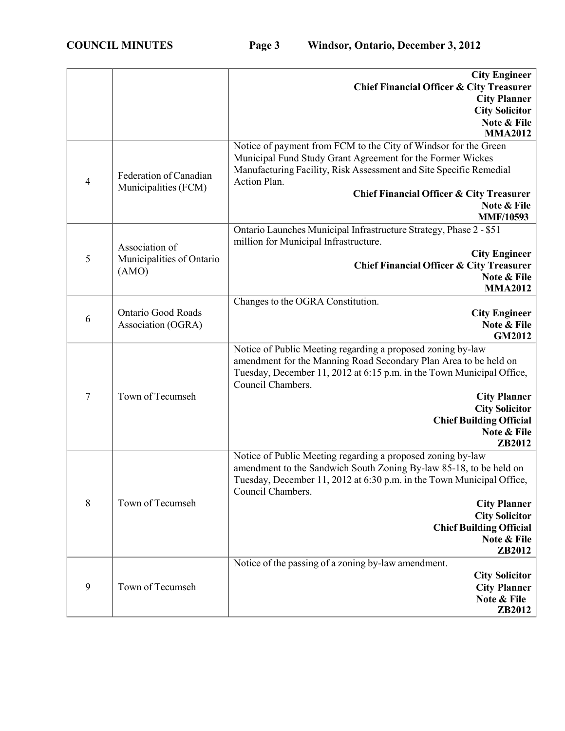|                  |                           | <b>City Engineer</b><br><b>Chief Financial Officer &amp; City Treasurer</b>                                                                 |
|------------------|---------------------------|---------------------------------------------------------------------------------------------------------------------------------------------|
|                  |                           | <b>City Planner</b>                                                                                                                         |
|                  |                           | <b>City Solicitor</b>                                                                                                                       |
|                  |                           | Note & File<br><b>MMA2012</b>                                                                                                               |
|                  |                           | Notice of payment from FCM to the City of Windsor for the Green                                                                             |
|                  |                           | Municipal Fund Study Grant Agreement for the Former Wickes                                                                                  |
| $\overline{4}$   | Federation of Canadian    | Manufacturing Facility, Risk Assessment and Site Specific Remedial<br>Action Plan.                                                          |
|                  | Municipalities (FCM)      | <b>Chief Financial Officer &amp; City Treasurer</b>                                                                                         |
|                  |                           | Note & File                                                                                                                                 |
|                  |                           | <b>MMF/10593</b>                                                                                                                            |
|                  |                           | Ontario Launches Municipal Infrastructure Strategy, Phase 2 - \$51                                                                          |
|                  | Association of            | million for Municipal Infrastructure.                                                                                                       |
| 5                | Municipalities of Ontario | <b>City Engineer</b>                                                                                                                        |
|                  | (AMO)                     | <b>Chief Financial Officer &amp; City Treasurer</b>                                                                                         |
|                  |                           | Note & File<br><b>MMA2012</b>                                                                                                               |
|                  |                           | Changes to the OGRA Constitution.                                                                                                           |
|                  | Ontario Good Roads        | <b>City Engineer</b>                                                                                                                        |
| 6                | Association (OGRA)        | Note & File                                                                                                                                 |
|                  |                           | <b>GM2012</b>                                                                                                                               |
|                  |                           | Notice of Public Meeting regarding a proposed zoning by-law                                                                                 |
|                  |                           | amendment for the Manning Road Secondary Plan Area to be held on                                                                            |
|                  | Town of Tecumseh          | Tuesday, December 11, 2012 at 6:15 p.m. in the Town Municipal Office,<br>Council Chambers.                                                  |
| $\tau$           |                           | <b>City Planner</b>                                                                                                                         |
|                  |                           | <b>City Solicitor</b>                                                                                                                       |
|                  |                           | <b>Chief Building Official</b>                                                                                                              |
|                  |                           | Note & File                                                                                                                                 |
|                  |                           | ZB2012                                                                                                                                      |
|                  |                           | Notice of Public Meeting regarding a proposed zoning by-law                                                                                 |
|                  |                           | amendment to the Sandwich South Zoning By-law 85-18, to be held on<br>Tuesday, December 11, 2012 at 6:30 p.m. in the Town Municipal Office, |
|                  |                           | Council Chambers.                                                                                                                           |
| 8                | Town of Tecumseh          | <b>City Planner</b>                                                                                                                         |
|                  |                           | <b>City Solicitor</b>                                                                                                                       |
|                  |                           | <b>Chief Building Official</b>                                                                                                              |
|                  |                           | Note & File                                                                                                                                 |
|                  |                           | ZB2012                                                                                                                                      |
|                  |                           | Notice of the passing of a zoning by-law amendment.                                                                                         |
| $\boldsymbol{9}$ | Town of Tecumseh          | <b>City Solicitor</b><br><b>City Planner</b>                                                                                                |
|                  |                           | Note & File                                                                                                                                 |
|                  |                           | ZB2012                                                                                                                                      |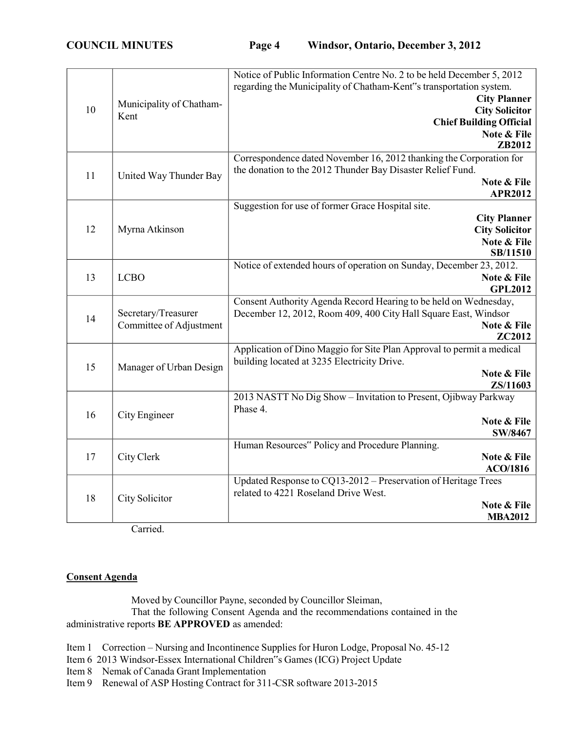|    |                                                | Notice of Public Information Centre No. 2 to be held December 5, 2012 |
|----|------------------------------------------------|-----------------------------------------------------------------------|
|    |                                                | regarding the Municipality of Chatham-Kent"s transportation system.   |
| 10 |                                                | <b>City Planner</b>                                                   |
|    | Municipality of Chatham-<br>Kent               | <b>City Solicitor</b>                                                 |
|    |                                                | <b>Chief Building Official</b>                                        |
|    |                                                | Note & File                                                           |
|    |                                                | ZB2012                                                                |
|    |                                                | Correspondence dated November 16, 2012 thanking the Corporation for   |
| 11 | United Way Thunder Bay                         | the donation to the 2012 Thunder Bay Disaster Relief Fund.            |
|    |                                                | Note & File                                                           |
|    |                                                | <b>APR2012</b>                                                        |
|    |                                                | Suggestion for use of former Grace Hospital site.                     |
|    |                                                | <b>City Planner</b>                                                   |
| 12 | Myrna Atkinson                                 | <b>City Solicitor</b>                                                 |
|    |                                                | Note & File                                                           |
|    |                                                | SB/11510                                                              |
|    |                                                | Notice of extended hours of operation on Sunday, December 23, 2012.   |
| 13 | <b>LCBO</b>                                    | Note & File                                                           |
|    |                                                | <b>GPL2012</b>                                                        |
|    |                                                | Consent Authority Agenda Record Hearing to be held on Wednesday,      |
| 14 | Secretary/Treasurer<br>Committee of Adjustment | December 12, 2012, Room 409, 400 City Hall Square East, Windsor       |
|    |                                                | Note & File<br><b>ZC2012</b>                                          |
|    |                                                | Application of Dino Maggio for Site Plan Approval to permit a medical |
|    | Manager of Urban Design                        | building located at 3235 Electricity Drive.                           |
| 15 |                                                | Note & File                                                           |
|    |                                                | ZS/11603                                                              |
|    |                                                | 2013 NASTT No Dig Show - Invitation to Present, Ojibway Parkway       |
|    |                                                | Phase 4.                                                              |
| 16 | City Engineer                                  | Note & File                                                           |
|    |                                                | SW/8467                                                               |
|    |                                                | Human Resources" Policy and Procedure Planning.                       |
| 17 | City Clerk                                     | Note & File                                                           |
|    |                                                | <b>ACO/1816</b>                                                       |
|    |                                                | Updated Response to CQ13-2012 - Preservation of Heritage Trees        |
|    |                                                | related to 4221 Roseland Drive West.                                  |
| 18 | City Solicitor                                 | Note & File                                                           |
|    |                                                | <b>MBA2012</b>                                                        |

Carried.

# **Consent Agenda**

Moved by Councillor Payne, seconded by Councillor Sleiman, That the following Consent Agenda and the recommendations contained in the administrative reports **BE APPROVED** as amended:

- Item 1 Correction Nursing and Incontinence Supplies for Huron Lodge, Proposal No. 45-12
- Item 6 2013 Windsor-Essex International Children"s Games (ICG) Project Update
- Item 8 Nemak of Canada Grant Implementation
- Item 9 Renewal of ASP Hosting Contract for 311-CSR software 2013-2015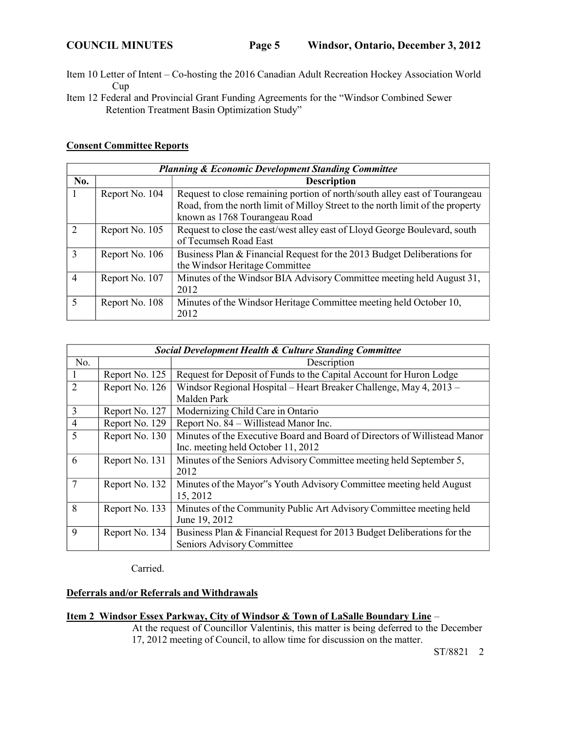- Item 10 Letter of Intent Co-hosting the 2016 Canadian Adult Recreation Hockey Association World Cup
- Item 12 Federal and Provincial Grant Funding Agreements for the "Windsor Combined Sewer Retention Treatment Basin Optimization Study"

### **Consent Committee Reports**

|                | <b>Planning &amp; Economic Development Standing Committee</b> |                                                                                                                                                                                               |  |
|----------------|---------------------------------------------------------------|-----------------------------------------------------------------------------------------------------------------------------------------------------------------------------------------------|--|
| No.            |                                                               | <b>Description</b>                                                                                                                                                                            |  |
|                | Report No. 104                                                | Request to close remaining portion of north/south alley east of Tourangeau<br>Road, from the north limit of Milloy Street to the north limit of the property<br>known as 1768 Tourangeau Road |  |
| $\overline{2}$ | Report No. 105                                                | Request to close the east/west alley east of Lloyd George Boulevard, south<br>of Tecumseh Road East                                                                                           |  |
| $\mathcal{R}$  | Report No. 106                                                | Business Plan & Financial Request for the 2013 Budget Deliberations for<br>the Windsor Heritage Committee                                                                                     |  |
| $\overline{4}$ | Report No. 107                                                | Minutes of the Windsor BIA Advisory Committee meeting held August 31,<br>2012                                                                                                                 |  |
| 5              | Report No. 108                                                | Minutes of the Windsor Heritage Committee meeting held October 10,<br>2012                                                                                                                    |  |

|                | <b>Social Development Health &amp; Culture Standing Committee</b> |                                                                           |  |
|----------------|-------------------------------------------------------------------|---------------------------------------------------------------------------|--|
| No.            |                                                                   | Description                                                               |  |
|                | Report No. 125                                                    | Request for Deposit of Funds to the Capital Account for Huron Lodge       |  |
| $\mathfrak{D}$ | Report No. 126                                                    | Windsor Regional Hospital - Heart Breaker Challenge, May 4, 2013 -        |  |
|                |                                                                   | Malden Park                                                               |  |
| $\overline{3}$ | Report No. 127                                                    | Modernizing Child Care in Ontario                                         |  |
| $\overline{4}$ | Report No. 129                                                    | Report No. 84 – Willistead Manor Inc.                                     |  |
| 5              | Report No. 130                                                    | Minutes of the Executive Board and Board of Directors of Willistead Manor |  |
|                |                                                                   | Inc. meeting held October 11, 2012                                        |  |
| 6              | Report No. 131                                                    | Minutes of the Seniors Advisory Committee meeting held September 5,       |  |
|                |                                                                   | 2012                                                                      |  |
| $\overline{7}$ | Report No. 132                                                    | Minutes of the Mayor"s Youth Advisory Committee meeting held August       |  |
|                |                                                                   | 15, 2012                                                                  |  |
| 8              | Report No. 133                                                    | Minutes of the Community Public Art Advisory Committee meeting held       |  |
|                |                                                                   | June 19, 2012                                                             |  |
| 9              | Report No. 134                                                    | Business Plan & Financial Request for 2013 Budget Deliberations for the   |  |
|                |                                                                   | Seniors Advisory Committee                                                |  |

Carried.

# **Deferrals and/or Referrals and Withdrawals**

# **Item 2 Windsor Essex Parkway, City of Windsor & Town of LaSalle Boundary Line** –

At the request of Councillor Valentinis, this matter is being deferred to the December 17, 2012 meeting of Council, to allow time for discussion on the matter.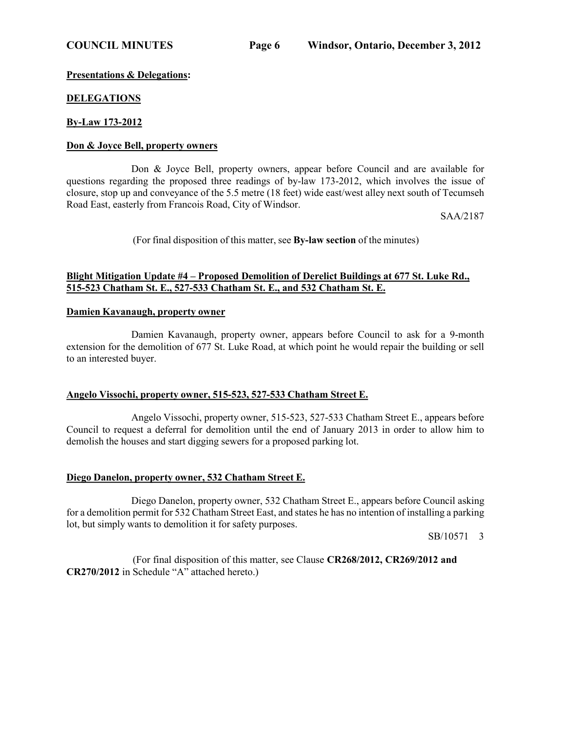## **Presentations & Delegations:**

## **DELEGATIONS**

# **By-Law 173-2012**

### **Don & Joyce Bell, property owners**

Don & Joyce Bell, property owners, appear before Council and are available for questions regarding the proposed three readings of by-law 173-2012, which involves the issue of closure, stop up and conveyance of the 5.5 metre (18 feet) wide east/west alley next south of Tecumseh Road East, easterly from Francois Road, City of Windsor.

SAA/2187

(For final disposition of this matter, see **By-law section** of the minutes)

# **Blight Mitigation Update #4 – Proposed Demolition of Derelict Buildings at 677 St. Luke Rd., 515-523 Chatham St. E., 527-533 Chatham St. E., and 532 Chatham St. E.**

### **Damien Kavanaugh, property owner**

Damien Kavanaugh, property owner, appears before Council to ask for a 9-month extension for the demolition of 677 St. Luke Road, at which point he would repair the building or sell to an interested buyer.

## **Angelo Vissochi, property owner, 515-523, 527-533 Chatham Street E.**

Angelo Vissochi, property owner, 515-523, 527-533 Chatham Street E., appears before Council to request a deferral for demolition until the end of January 2013 in order to allow him to demolish the houses and start digging sewers for a proposed parking lot.

## **Diego Danelon, property owner, 532 Chatham Street E.**

Diego Danelon, property owner, 532 Chatham Street E., appears before Council asking for a demolition permit for 532 Chatham Street East, and states he has no intention of installing a parking lot, but simply wants to demolition it for safety purposes.

SB/10571 3

(For final disposition of this matter, see Clause **CR268/2012, CR269/2012 and CR270/2012** in Schedule "A" attached hereto.)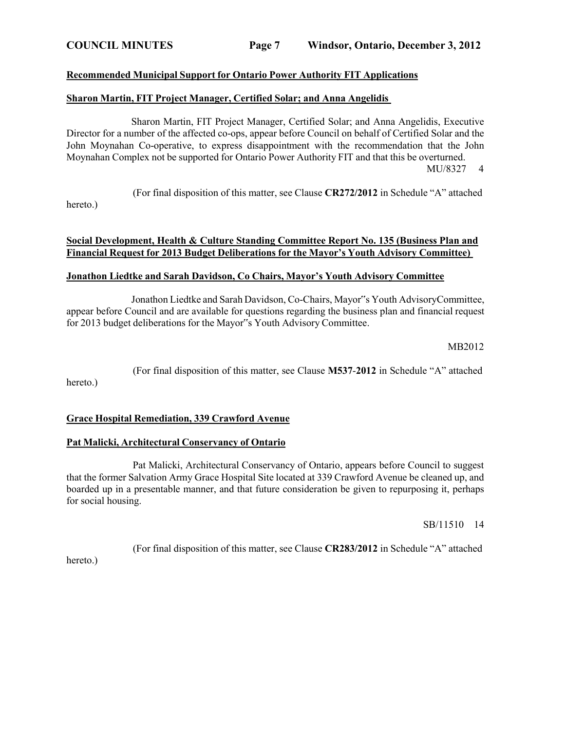### **Recommended Municipal Support for Ontario Power Authority FIT Applications**

### **Sharon Martin, FIT Project Manager, Certified Solar; and Anna Angelidis**

Sharon Martin, FIT Project Manager, Certified Solar; and Anna Angelidis, Executive Director for a number of the affected co-ops, appear before Council on behalf of Certified Solar and the John Moynahan Co-operative, to express disappointment with the recommendation that the John Moynahan Complex not be supported for Ontario Power Authority FIT and that this be overturned. MU/8327 4

(For final disposition of this matter, see Clause **CR272/2012** in Schedule "A" attached

hereto.)

# **Social Development, Health & Culture Standing Committee Report No. 135 (Business Plan and Financial Request for 2013 Budget Deliberations for the Mayor's Youth Advisory Committee)**

## **Jonathon Liedtke and Sarah Davidson, Co Chairs, Mayor's Youth Advisory Committee**

Jonathon Liedtke and Sarah Davidson, Co-Chairs, Mayor"s Youth AdvisoryCommittee, appear before Council and are available for questions regarding the business plan and financial request for 2013 budget deliberations for the Mayor"s Youth Advisory Committee.

MB2012

(For final disposition of this matter, see Clause **M537**-**2012** in Schedule "A" attached hereto.)

## **Grace Hospital Remediation, 339 Crawford Avenue**

### **Pat Malicki, Architectural Conservancy of Ontario**

Pat Malicki, Architectural Conservancy of Ontario, appears before Council to suggest that the former Salvation Army Grace Hospital Site located at 339 Crawford Avenue be cleaned up, and boarded up in a presentable manner, and that future consideration be given to repurposing it, perhaps for social housing.

SB/11510 14

(For final disposition of this matter, see Clause **CR283/2012** in Schedule "A" attached

hereto.)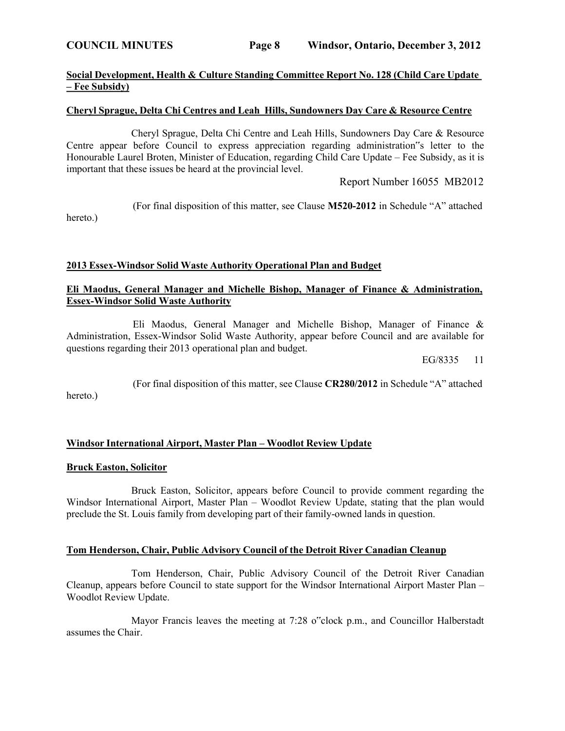hereto.)

# **Social Development, Health & Culture Standing Committee Report No. 128 (Child Care Update – Fee Subsidy)**

### **Cheryl Sprague, Delta Chi Centres and Leah Hills, Sundowners Day Care & Resource Centre**

Cheryl Sprague, Delta Chi Centre and Leah Hills, Sundowners Day Care & Resource Centre appear before Council to express appreciation regarding administration"s letter to the Honourable Laurel Broten, Minister of Education, regarding Child Care Update – Fee Subsidy, as it is important that these issues be heard at the provincial level.

Report Number 16055 MB2012

(For final disposition of this matter, see Clause **M520-2012** in Schedule "A" attached

### **2013 Essex-Windsor Solid Waste Authority Operational Plan and Budget**

## **Eli Maodus, General Manager and Michelle Bishop, Manager of Finance & Administration, Essex-Windsor Solid Waste Authority**

Eli Maodus, General Manager and Michelle Bishop, Manager of Finance & Administration, Essex-Windsor Solid Waste Authority, appear before Council and are available for questions regarding their 2013 operational plan and budget.

EG/8335 11

(For final disposition of this matter, see Clause **CR280/2012** in Schedule "A" attached hereto.)

### **Windsor International Airport, Master Plan – Woodlot Review Update**

### **Bruck Easton, Solicitor**

Bruck Easton, Solicitor, appears before Council to provide comment regarding the Windsor International Airport, Master Plan – Woodlot Review Update, stating that the plan would preclude the St. Louis family from developing part of their family-owned lands in question.

### **Tom Henderson, Chair, Public Advisory Council of the Detroit River Canadian Cleanup**

Tom Henderson, Chair, Public Advisory Council of the Detroit River Canadian Cleanup, appears before Council to state support for the Windsor International Airport Master Plan – Woodlot Review Update.

Mayor Francis leaves the meeting at 7:28 o"clock p.m., and Councillor Halberstadt assumes the Chair.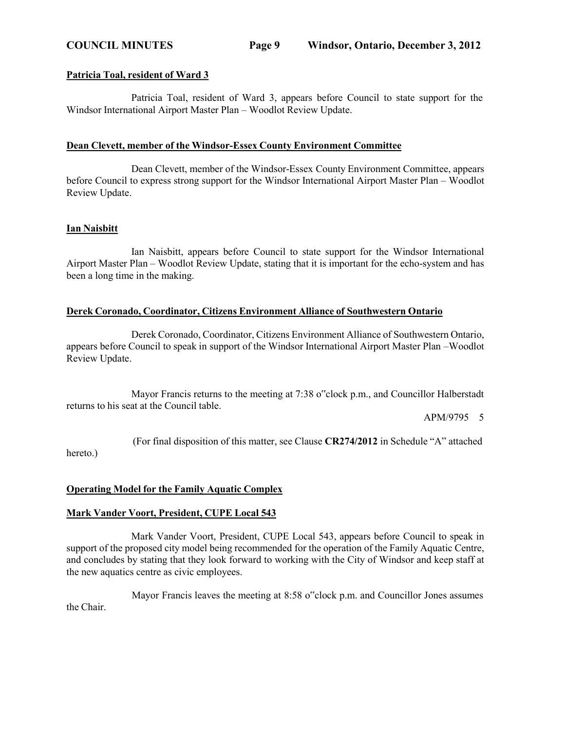### **Patricia Toal, resident of Ward 3**

Patricia Toal, resident of Ward 3, appears before Council to state support for the Windsor International Airport Master Plan – Woodlot Review Update.

### **Dean Clevett, member of the Windsor-Essex County Environment Committee**

Dean Clevett, member of the Windsor-Essex County Environment Committee, appears before Council to express strong support for the Windsor International Airport Master Plan – Woodlot Review Update.

### **Ian Naisbitt**

Ian Naisbitt, appears before Council to state support for the Windsor International Airport Master Plan – Woodlot Review Update, stating that it is important for the echo-system and has been a long time in the making.

## **Derek Coronado, Coordinator, Citizens Environment Alliance of Southwestern Ontario**

Derek Coronado, Coordinator, Citizens Environment Alliance of Southwestern Ontario, appears before Council to speak in support of the Windsor International Airport Master Plan –Woodlot Review Update.

Mayor Francis returns to the meeting at 7:38 o"clock p.m., and Councillor Halberstadt returns to his seat at the Council table.

APM/9795 5

(For final disposition of this matter, see Clause **CR274/2012** in Schedule "A" attached hereto.)

# **Operating Model for the Family Aquatic Complex**

# **Mark Vander Voort, President, CUPE Local 543**

Mark Vander Voort, President, CUPE Local 543, appears before Council to speak in support of the proposed city model being recommended for the operation of the Family Aquatic Centre, and concludes by stating that they look forward to working with the City of Windsor and keep staff at the new aquatics centre as civic employees.

Mayor Francis leaves the meeting at 8:58 o"clock p.m. and Councillor Jones assumes the Chair.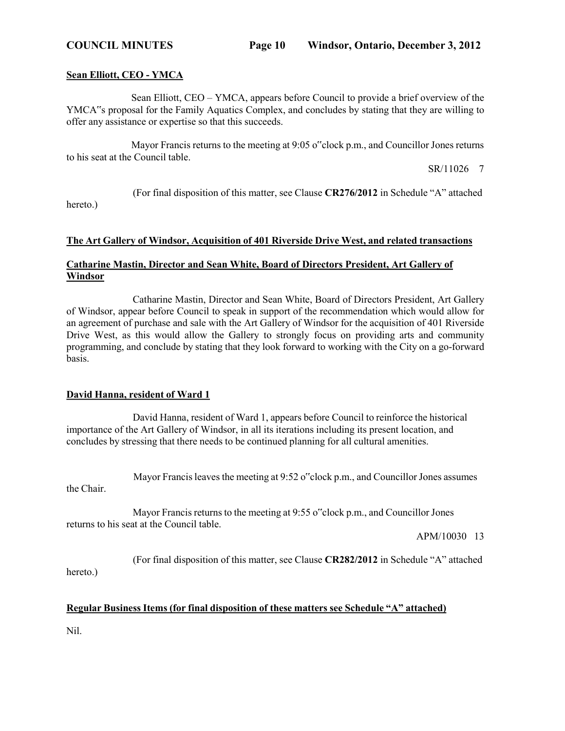### **Sean Elliott, CEO - YMCA**

hereto.)

Sean Elliott, CEO – YMCA, appears before Council to provide a brief overview of the YMCA"s proposal for the Family Aquatics Complex, and concludes by stating that they are willing to offer any assistance or expertise so that this succeeds.

Mayor Francis returns to the meeting at 9:05 o"clock p.m., and Councillor Jones returns to his seat at the Council table.

SR/11026 7

(For final disposition of this matter, see Clause **CR276/2012** in Schedule "A" attached

## **The Art Gallery of Windsor, Acquisition of 401 Riverside Drive West, and related transactions**

# **Catharine Mastin, Director and Sean White, Board of Directors President, Art Gallery of Windsor**

Catharine Mastin, Director and Sean White, Board of Directors President, Art Gallery of Windsor, appear before Council to speak in support of the recommendation which would allow for an agreement of purchase and sale with the Art Gallery of Windsor for the acquisition of 401 Riverside Drive West, as this would allow the Gallery to strongly focus on providing arts and community programming, and conclude by stating that they look forward to working with the City on a go-forward basis.

## **David Hanna, resident of Ward 1**

David Hanna, resident of Ward 1, appears before Council to reinforce the historical importance of the Art Gallery of Windsor, in all its iterations including its present location, and concludes by stressing that there needs to be continued planning for all cultural amenities.

Mayor Francis leaves the meeting at 9:52 o"clock p.m., and Councillor Jones assumes

Mayor Francis returns to the meeting at 9:55 o"clock p.m., and Councillor Jones returns to his seat at the Council table.

APM/10030 13

(For final disposition of this matter, see Clause **CR282/2012** in Schedule "A" attached hereto.)

## **Regular Business Items (for final disposition of these matters see Schedule "A" attached)**

Nil.

the Chair.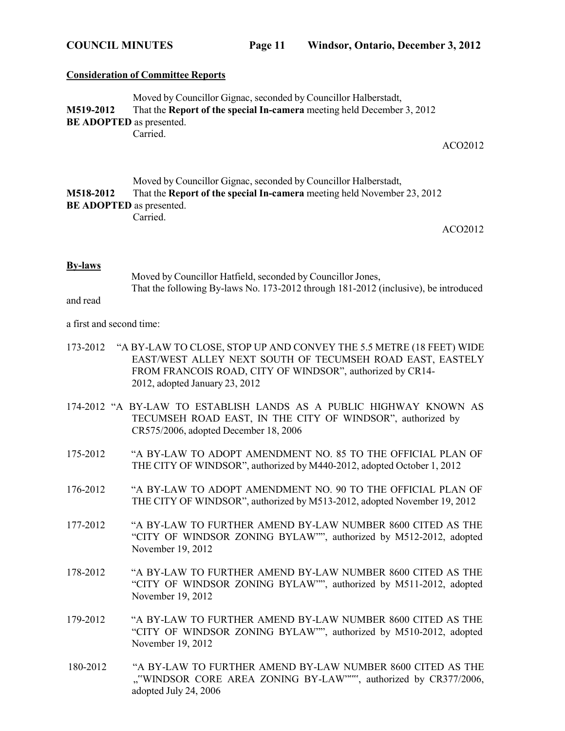### **Consideration of Committee Reports**

|                                 | Moved by Councillor Gignac, seconded by Councillor Halberstadt,               |
|---------------------------------|-------------------------------------------------------------------------------|
| <b>M519-2012</b>                | That the <b>Report of the special In-camera</b> meeting held December 3, 2012 |
| <b>BE ADOPTED</b> as presented. |                                                                               |
|                                 | Carried.                                                                      |

ACO2012

|                                 | Moved by Councillor Gignac, seconded by Councillor Halberstadt,                |  |
|---------------------------------|--------------------------------------------------------------------------------|--|
| M518-2012                       | That the <b>Report of the special In-camera</b> meeting held November 23, 2012 |  |
| <b>BE ADOPTED</b> as presented. |                                                                                |  |
|                                 | Carried.                                                                       |  |

ACO2012

### **By-laws**

Moved by Councillor Hatfield, seconded by Councillor Jones, That the following By-laws No. 173-2012 through 181-2012 (inclusive), be introduced

# and read

### a first and second time:

- 173-2012 "A BY-LAW TO CLOSE, STOP UP AND CONVEY THE 5.5 METRE (18 FEET) WIDE EAST/WEST ALLEY NEXT SOUTH OF TECUMSEH ROAD EAST, EASTELY FROM FRANCOIS ROAD, CITY OF WINDSOR", authorized by CR14- 2012, adopted January 23, 2012
- 174-2012 "A BY-LAW TO ESTABLISH LANDS AS A PUBLIC HIGHWAY KNOWN AS TECUMSEH ROAD EAST, IN THE CITY OF WINDSOR", authorized by CR575/2006, adopted December 18, 2006
- 175-2012 "A BY-LAW TO ADOPT AMENDMENT NO. 85 TO THE OFFICIAL PLAN OF THE CITY OF WINDSOR", authorized by M440-2012, adopted October 1, 2012
- 176-2012 "A BY-LAW TO ADOPT AMENDMENT NO. 90 TO THE OFFICIAL PLAN OF THE CITY OF WINDSOR", authorized by M513-2012, adopted November 19, 2012
- 177-2012 "A BY-LAW TO FURTHER AMEND BY-LAW NUMBER 8600 CITED AS THE "CITY OF WINDSOR ZONING BYLAW"", authorized by M512-2012, adopted November 19, 2012
- 178-2012 "A BY-LAW TO FURTHER AMEND BY-LAW NUMBER 8600 CITED AS THE "CITY OF WINDSOR ZONING BYLAW"", authorized by M511-2012, adopted November 19, 2012
- 179-2012 "A BY-LAW TO FURTHER AMEND BY-LAW NUMBER 8600 CITED AS THE "CITY OF WINDSOR ZONING BYLAW"", authorized by M510-2012, adopted November 19, 2012
- 180-2012 "A BY-LAW TO FURTHER AMEND BY-LAW NUMBER 8600 CITED AS THE ""WINDSOR CORE AREA ZONING BY-LAW""", authorized by CR377/2006, adopted July 24, 2006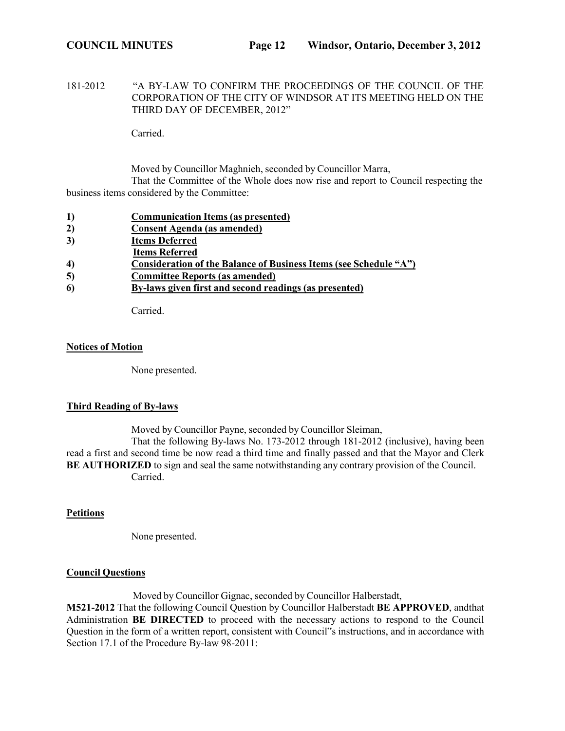181-2012 "A BY-LAW TO CONFIRM THE PROCEEDINGS OF THE COUNCIL OF THE CORPORATION OF THE CITY OF WINDSOR AT ITS MEETING HELD ON THE THIRD DAY OF DECEMBER, 2012"

Carried.

Moved by Councillor Maghnieh, seconded by Councillor Marra, That the Committee of the Whole does now rise and report to Council respecting the business items considered by the Committee:

| 1) | <b>Communication Items (as presented)</b> |
|----|-------------------------------------------|
| 2) | Consent Agenda (as amended)               |
| 3) | <b>Items Deferred</b>                     |

- **Items Referred**
- **4) Consideration of the Balance of Business Items (see Schedule "A")**
- **5) Committee Reports (as amended)**
- **6) By-laws given first and second readings (as presented)**

Carried.

## **Notices of Motion**

None presented.

# **Third Reading of By-laws**

Moved by Councillor Payne, seconded by Councillor Sleiman,

That the following By-laws No. 173-2012 through 181-2012 (inclusive), having been read a first and second time be now read a third time and finally passed and that the Mayor and Clerk **BE AUTHORIZED** to sign and seal the same notwithstanding any contrary provision of the Council. Carried.

# **Petitions**

None presented.

# **Council Questions**

Moved by Councillor Gignac, seconded by Councillor Halberstadt,

**M521-2012** That the following Council Question by Councillor Halberstadt **BE APPROVED**, andthat Administration **BE DIRECTED** to proceed with the necessary actions to respond to the Council Question in the form of a written report, consistent with Council"s instructions, and in accordance with Section 17.1 of the Procedure By-law 98-2011: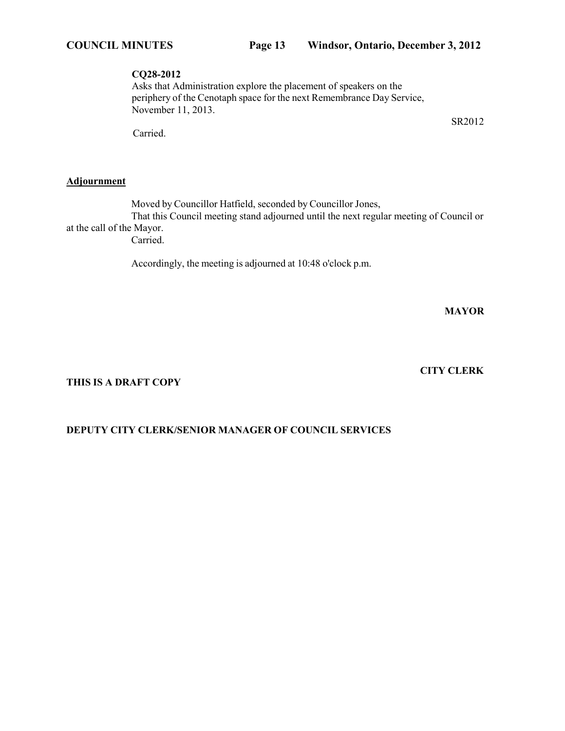## **CQ28-2012**

Asks that Administration explore the placement of speakers on the periphery of the Cenotaph space for the next Remembrance Day Service, November 11, 2013.

Carried.

## **Adjournment**

Moved by Councillor Hatfield, seconded by Councillor Jones, That this Council meeting stand adjourned until the next regular meeting of Council or at the call of the Mayor. Carried.

Accordingly, the meeting is adjourned at 10:48 o'clock p.m.

**MAYOR**

**CITY CLERK**

SR2012

**THIS IS A DRAFT COPY**

# **DEPUTY CITY CLERK/SENIOR MANAGER OF COUNCIL SERVICES**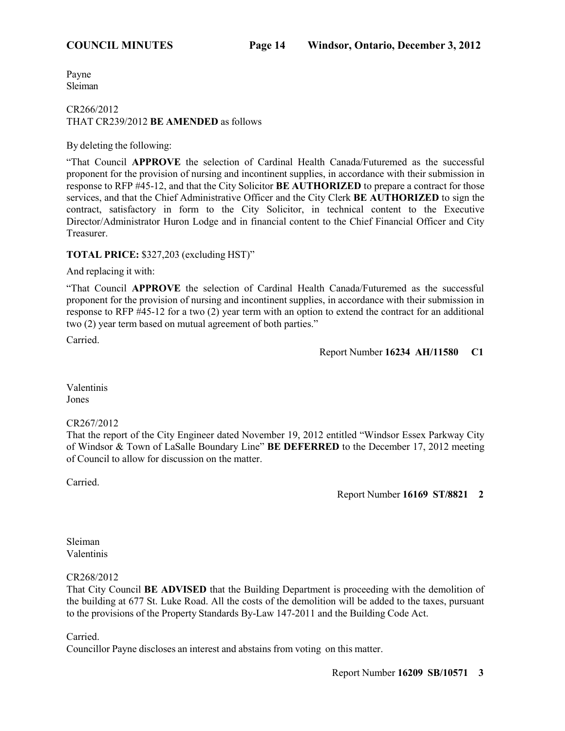Payne Sleiman

### CR266/2012 THAT CR239/2012 **BE AMENDED** as follows

By deleting the following:

"That Council **APPROVE** the selection of Cardinal Health Canada/Futuremed as the successful proponent for the provision of nursing and incontinent supplies, in accordance with their submission in response to RFP #45-12, and that the City Solicitor **BE AUTHORIZED** to prepare a contract for those services, and that the Chief Administrative Officer and the City Clerk **BE AUTHORIZED** to sign the contract, satisfactory in form to the City Solicitor, in technical content to the Executive Director/Administrator Huron Lodge and in financial content to the Chief Financial Officer and City Treasurer.

# **TOTAL PRICE:** \$327,203 (excluding HST)"

And replacing it with:

"That Council **APPROVE** the selection of Cardinal Health Canada/Futuremed as the successful proponent for the provision of nursing and incontinent supplies, in accordance with their submission in response to RFP #45-12 for a two (2) year term with an option to extend the contract for an additional two (2) year term based on mutual agreement of both parties."

Carried.

Report Number **16234 AH/11580 C1**

Valentinis Jones

## CR267/2012

That the report of the City Engineer dated November 19, 2012 entitled "Windsor Essex Parkway City of Windsor & Town of LaSalle Boundary Line" **BE DEFERRED** to the December 17, 2012 meeting of Council to allow for discussion on the matter.

Carried.

Report Number **16169 ST/8821 2**

### Sleiman Valentinis

## CR268/2012

That City Council **BE ADVISED** that the Building Department is proceeding with the demolition of the building at 677 St. Luke Road. All the costs of the demolition will be added to the taxes, pursuant to the provisions of the Property Standards By-Law 147-2011 and the Building Code Act.

Carried.

Councillor Payne discloses an interest and abstains from voting on this matter.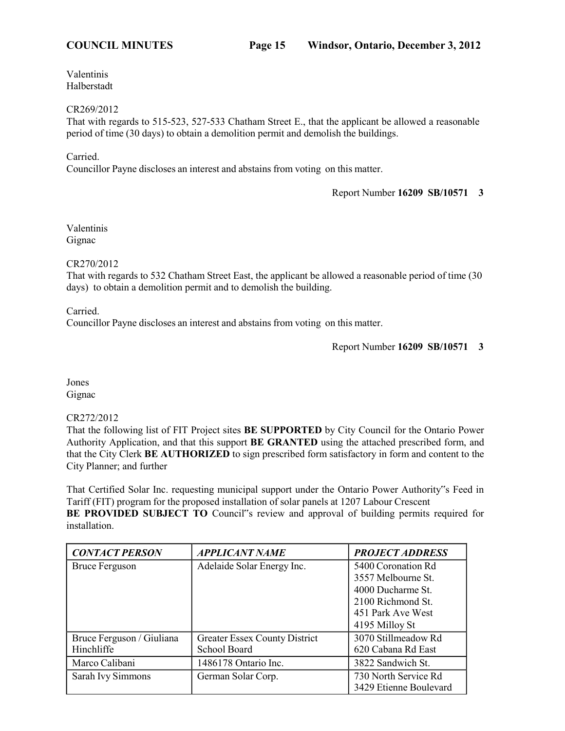Valentinis Halberstadt

CR269/2012

That with regards to 515-523, 527-533 Chatham Street E., that the applicant be allowed a reasonable period of time (30 days) to obtain a demolition permit and demolish the buildings.

Carried.

Councillor Payne discloses an interest and abstains from voting on this matter.

Report Number **16209 SB/10571 3**

Valentinis Gignac

CR270/2012

That with regards to 532 Chatham Street East, the applicant be allowed a reasonable period of time (30 days) to obtain a demolition permit and to demolish the building.

Carried.

Councillor Payne discloses an interest and abstains from voting on this matter.

Jones Gignac

## CR272/2012

That the following list of FIT Project sites **BE SUPPORTED** by City Council for the Ontario Power Authority Application, and that this support **BE GRANTED** using the attached prescribed form, and that the City Clerk **BE AUTHORIZED** to sign prescribed form satisfactory in form and content to the City Planner; and further

That Certified Solar Inc. requesting municipal support under the Ontario Power Authority"s Feed in Tariff (FIT) program for the proposed installation of solar panels at 1207 Labour Crescent BE PROVIDED SUBJECT TO Council"s review and approval of building permits required for installation.

| <b>CONTACT PERSON</b>     | <b>APPLICANT NAME</b>         | <b>PROJECT ADDRESS</b> |
|---------------------------|-------------------------------|------------------------|
| <b>Bruce Ferguson</b>     | Adelaide Solar Energy Inc.    | 5400 Coronation Rd     |
|                           |                               | 3557 Melbourne St.     |
|                           |                               | 4000 Ducharme St.      |
|                           |                               | 2100 Richmond St.      |
|                           |                               | 451 Park Ave West      |
|                           |                               | 4195 Milloy St         |
| Bruce Ferguson / Giuliana | Greater Essex County District | 3070 Stillmeadow Rd    |
| Hinchliffe                | School Board                  | 620 Cabana Rd East     |
| Marco Calibani            | 1486178 Ontario Inc.          | 3822 Sandwich St.      |
| Sarah Ivy Simmons         | German Solar Corp.            | 730 North Service Rd   |
|                           |                               | 3429 Etienne Boulevard |

Report Number **16209 SB/10571 3**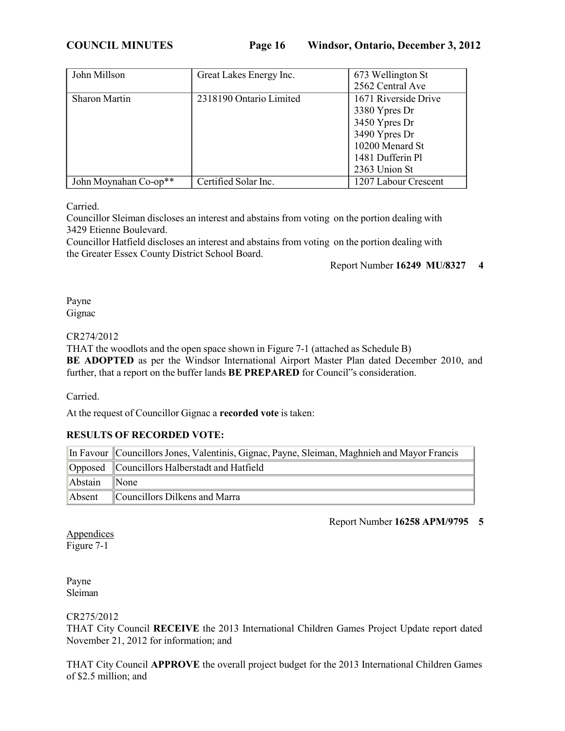**COUNCIL MINUTES Page 16 Windsor, Ontario, December 3, 2012**

| John Millson          | Great Lakes Energy Inc. | 673 Wellington St<br>2562 Central Ave                                                                                           |
|-----------------------|-------------------------|---------------------------------------------------------------------------------------------------------------------------------|
| <b>Sharon Martin</b>  | 2318190 Ontario Limited | 1671 Riverside Drive<br>3380 Ypres Dr<br>3450 Ypres Dr<br>3490 Ypres Dr<br>10200 Menard St<br>1481 Dufferin Pl<br>2363 Union St |
| John Moynahan Co-op** | Certified Solar Inc.    | 1207 Labour Crescent                                                                                                            |

Carried.

Councillor Sleiman discloses an interest and abstains from voting on the portion dealing with 3429 Etienne Boulevard.

Councillor Hatfield discloses an interest and abstains from voting on the portion dealing with the Greater Essex County District School Board.

Report Number **16249 MU/8327 4**

Payne Gignac

# CR274/2012

THAT the woodlots and the open space shown in Figure 7-1 (attached as Schedule B)

**BE ADOPTED** as per the Windsor International Airport Master Plan dated December 2010, and further, that a report on the buffer lands **BE PREPARED** for Council"s consideration.

Carried.

At the request of Councillor Gignac a **recorded vote** is taken:

# **RESULTS OF RECORDED VOTE:**

|         | In Favour   Councillors Jones, Valentinis, Gignac, Payne, Sleiman, Maghnieh and Mayor Francis |
|---------|-----------------------------------------------------------------------------------------------|
|         | Opposed Councillors Halberstadt and Hatfield                                                  |
| Abstain | $\blacksquare$ None                                                                           |
| Absent  | Councillors Dilkens and Marra                                                                 |

Report Number **16258 APM/9795 5**

**Appendices** Figure 7-1

Payne Sleiman

# CR275/2012

THAT City Council **RECEIVE** the 2013 International Children Games Project Update report dated November 21, 2012 for information; and

THAT City Council **APPROVE** the overall project budget for the 2013 International Children Games of \$2.5 million; and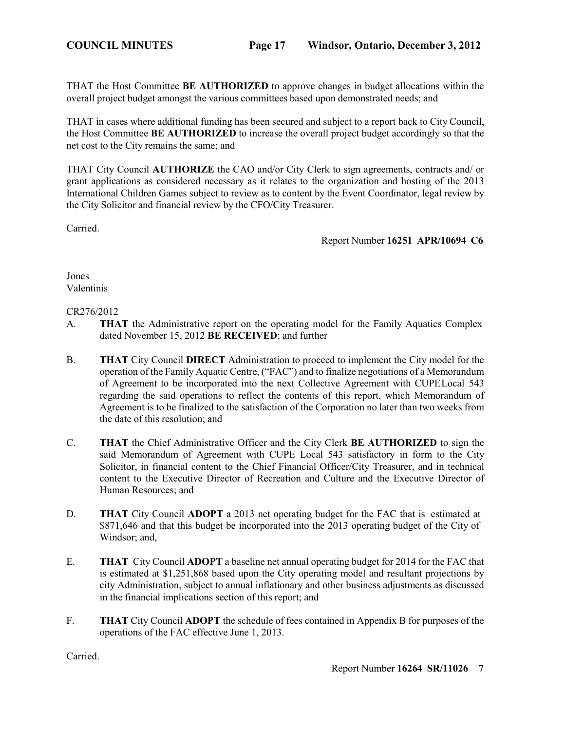THAT the Host Committee **BE AUTHORIZED** to approve changes in budget allocations within the overall project budget amongst the various committees based upon demonstrated needs; and

THAT in cases where additional funding has been secured and subject to a report back to City Council, the Host Committee **BE AUTHORIZED** to increase the overall project budget accordingly so that the net cost to the City remains the same; and

THAT City Council **AUTHORIZE** the CAO and/or City Clerk to sign agreements, contracts and/ or grant applications as considered necessary as it relates to the organization and hosting of the 2013 International Children Games subject to review as to content by the Event Coordinator, legal review by the City Solicitor and financial review by the CFO/City Treasurer.

Carried.

Report Number **16251 APR/10694 C6**

Jones Valentinis

## CR276/2012

- A. **THAT** the Administrative report on the operating model for the Family Aquatics Complex dated November 15, 2012 **BE RECEIVED**; and further
- B. **THAT** City Council **DIRECT** Administration to proceed to implement the City model for the operation of the Family Aquatic Centre, ("FAC") and to finalize negotiations of a Memorandum of Agreement to be incorporated into the next Collective Agreement with CUPELocal 543 regarding the said operations to reflect the contents of this report, which Memorandum of Agreement is to be finalized to the satisfaction of the Corporation no later than two weeks from the date of this resolution; and
- C. **THAT** the Chief Administrative Officer and the City Clerk **BE AUTHORIZED** to sign the said Memorandum of Agreement with CUPE Local 543 satisfactory in form to the City Solicitor, in financial content to the Chief Financial Officer/City Treasurer, and in technical content to the Executive Director of Recreation and Culture and the Executive Director of Human Resources; and
- D. **THAT** City Council **ADOPT** a 2013 net operating budget for the FAC that is estimated at \$871,646 and that this budget be incorporated into the 2013 operating budget of the City of Windsor; and,
- E. **THAT** City Council **ADOPT** a baseline net annual operating budget for 2014 for the FAC that is estimated at \$1,251,868 based upon the City operating model and resultant projections by city Administration, subject to annual inflationary and other business adjustments as discussed in the financial implications section of this report; and
- F. **THAT** City Council **ADOPT** the schedule of fees contained in Appendix B for purposes of the operations of the FAC effective June 1, 2013.

Carried.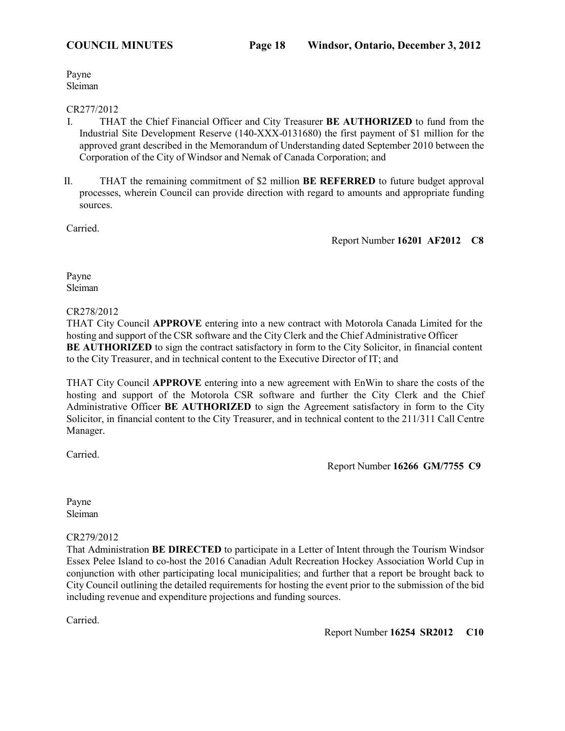Payne Sleiman

## CR277/2012

- I. THAT the Chief Financial Officer and City Treasurer **BE AUTHORIZED** to fund from the Industrial Site Development Reserve (140-XXX-0131680) the first payment of \$1 million for the approved grant described in the Memorandum of Understanding dated September 2010 between the Corporation of the City of Windsor and Nemak of Canada Corporation; and
- II. THAT the remaining commitment of \$2 million **BE REFERRED** to future budget approval processes, wherein Council can provide direction with regard to amounts and appropriate funding sources.

Carried.

Report Number **16201 AF2012 C8**

Payne Sleiman

## CR278/2012

THAT City Council **APPROVE** entering into a new contract with Motorola Canada Limited for the hosting and support of the CSR software and the City Clerk and the Chief Administrative Officer **BE AUTHORIZED** to sign the contract satisfactory in form to the City Solicitor, in financial content to the City Treasurer, and in technical content to the Executive Director of IT; and

THAT City Council **APPROVE** entering into a new agreement with EnWin to share the costs of the hosting and support of the Motorola CSR software and further the City Clerk and the Chief Administrative Officer **BE AUTHORIZED** to sign the Agreement satisfactory in form to the City Solicitor, in financial content to the City Treasurer, and in technical content to the 211/311 Call Centre Manager.

Carried.

Report Number **16266 GM/7755 C9**

Payne Sleiman

## CR279/2012

That Administration **BE DIRECTED** to participate in a Letter of Intent through the Tourism Windsor Essex Pelee Island to co-host the 2016 Canadian Adult Recreation Hockey Association World Cup in conjunction with other participating local municipalities; and further that a report be brought back to City Council outlining the detailed requirements for hosting the event prior to the submission of the bid including revenue and expenditure projections and funding sources.

Carried.

Report Number **16254 SR2012 C10**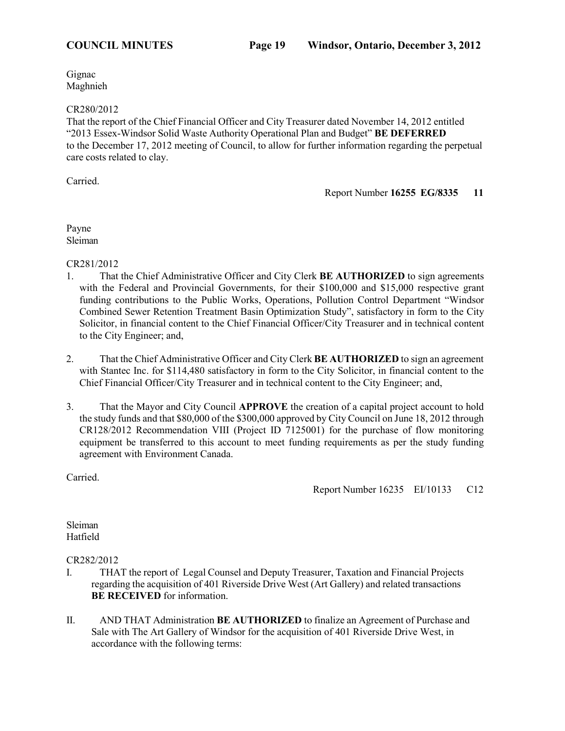Gignac Maghnieh

## CR280/2012

That the report of the Chief Financial Officer and City Treasurer dated November 14, 2012 entitled "2013 Essex-Windsor Solid Waste Authority Operational Plan and Budget" **BE DEFERRED** to the December 17, 2012 meeting of Council, to allow for further information regarding the perpetual care costs related to clay.

Carried.

Report Number **16255 EG/8335 11**

Payne Sleiman

CR281/2012

- 1. That the Chief Administrative Officer and City Clerk **BE AUTHORIZED** to sign agreements with the Federal and Provincial Governments, for their \$100,000 and \$15,000 respective grant funding contributions to the Public Works, Operations, Pollution Control Department "Windsor Combined Sewer Retention Treatment Basin Optimization Study", satisfactory in form to the City Solicitor, in financial content to the Chief Financial Officer/City Treasurer and in technical content to the City Engineer; and,
- 2. That the Chief Administrative Officer and City Clerk **BE AUTHORIZED** to sign an agreement with Stantec Inc. for \$114,480 satisfactory in form to the City Solicitor, in financial content to the Chief Financial Officer/City Treasurer and in technical content to the City Engineer; and,
- 3. That the Mayor and City Council **APPROVE** the creation of a capital project account to hold the study funds and that \$80,000 of the \$300,000 approved by City Council on June 18, 2012 through CR128/2012 Recommendation VIII (Project ID 7125001) for the purchase of flow monitoring equipment be transferred to this account to meet funding requirements as per the study funding agreement with Environment Canada.

Carried.

Report Number 16235 EI/10133 C12

Sleiman Hatfield

CR282/2012

- I. THAT the report of Legal Counsel and Deputy Treasurer, Taxation and Financial Projects regarding the acquisition of 401 Riverside Drive West (Art Gallery) and related transactions **BE RECEIVED** for information.
- II. AND THAT Administration **BE AUTHORIZED** to finalize an Agreement of Purchase and Sale with The Art Gallery of Windsor for the acquisition of 401 Riverside Drive West, in accordance with the following terms: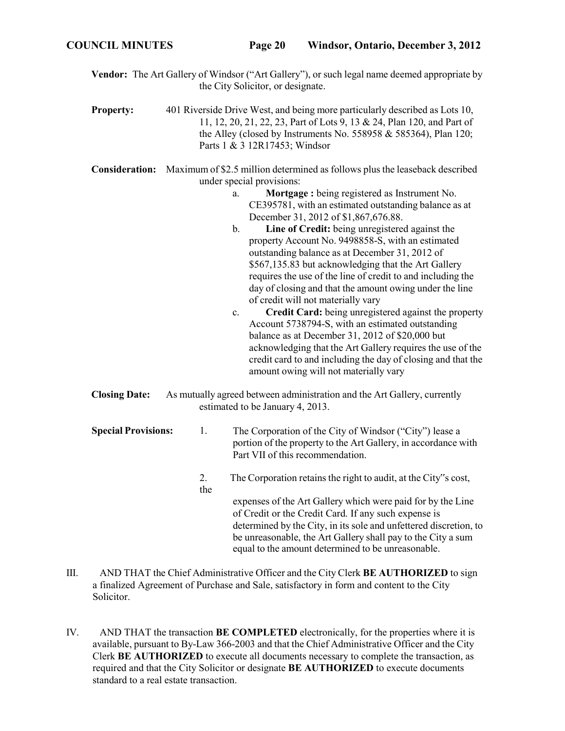- **Vendor:** The Art Gallery of Windsor ("Art Gallery"), or such legal name deemed appropriate by the City Solicitor, or designate.
- **Property:** 401 Riverside Drive West, and being more particularly described as Lots 10, 11, 12, 20, 21, 22, 23, Part of Lots 9, 13 & 24, Plan 120, and Part of the Alley (closed by Instruments No. 558958  $&$  585364), Plan 120; Parts 1 & 3 12R17453; Windsor
- **Consideration:** Maximum of \$2.5 million determined as follows plus the leaseback described under special provisions:
	- a. **Mortgage :** being registered as Instrument No. CE395781, with an estimated outstanding balance as at December 31, 2012 of \$1,867,676.88.
	- b. **Line of Credit:** being unregistered against the property Account No. 9498858-S, with an estimated outstanding balance as at December 31, 2012 of \$567,135.83 but acknowledging that the Art Gallery requires the use of the line of credit to and including the day of closing and that the amount owing under the line of credit will not materially vary
	- c. **Credit Card:** being unregistered against the property Account 5738794-S, with an estimated outstanding balance as at December 31, 2012 of \$20,000 but acknowledging that the Art Gallery requires the use of the credit card to and including the day of closing and that the amount owing will not materially vary
- **Closing Date:** As mutually agreed between administration and the Art Gallery, currently estimated to be January 4, 2013.
- **Special Provisions:** 1. The Corporation of the City of Windsor ("City") lease a portion of the property to the Art Gallery, in accordance with Part VII of this recommendation. 2. the The Corporation retains the right to audit, at the City"s cost, expenses of the Art Gallery which were paid for by the Line of Credit or the Credit Card. If any such expense is determined by the City, in its sole and unfettered discretion, to be unreasonable, the Art Gallery shall pay to the City a sum equal to the amount determined to be unreasonable.
- III. AND THAT the Chief Administrative Officer and the City Clerk **BE AUTHORIZED** to sign a finalized Agreement of Purchase and Sale, satisfactory in form and content to the City Solicitor.
- IV. AND THAT the transaction **BE COMPLETED** electronically, for the properties where it is available, pursuant to By-Law 366-2003 and that the Chief Administrative Officer and the City Clerk **BE AUTHORIZED** to execute all documents necessary to complete the transaction, as required and that the City Solicitor or designate **BE AUTHORIZED** to execute documents standard to a real estate transaction.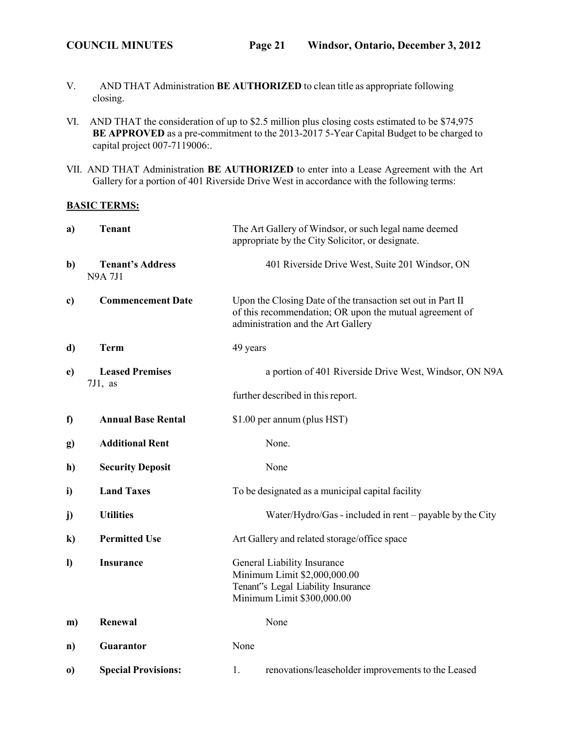- V. AND THAT Administration **BE AUTHORIZED** to clean title as appropriate following closing.
- VI. AND THAT the consideration of up to \$2.5 million plus closing costs estimated to be \$74,975 **BE APPROVED** as a pre-commitment to the 2013-2017 5-Year Capital Budget to be charged to capital project 007-7119006:.
- VII. AND THAT Administration **BE AUTHORIZED** to enter into a Lease Agreement with the Art Gallery for a portion of 401 Riverside Drive West in accordance with the following terms:

### **BASIC TERMS:**

| a)           | <b>Tenant</b>                            | The Art Gallery of Windsor, or such legal name deemed<br>appropriate by the City Solicitor, or designate.                                                    |  |
|--------------|------------------------------------------|--------------------------------------------------------------------------------------------------------------------------------------------------------------|--|
| b)           | <b>Tenant's Address</b><br><b>N9A7J1</b> | 401 Riverside Drive West, Suite 201 Windsor, ON                                                                                                              |  |
| c)           | <b>Commencement Date</b>                 | Upon the Closing Date of the transaction set out in Part II<br>of this recommendation; OR upon the mutual agreement of<br>administration and the Art Gallery |  |
| d)           | <b>Term</b>                              | 49 years                                                                                                                                                     |  |
| e)           | <b>Leased Premises</b>                   | a portion of 401 Riverside Drive West, Windsor, ON N9A                                                                                                       |  |
|              | $7J1$ , as                               | further described in this report.                                                                                                                            |  |
| $\mathbf f$  | <b>Annual Base Rental</b>                | \$1.00 per annum (plus HST)                                                                                                                                  |  |
| g)           | <b>Additional Rent</b>                   | None.                                                                                                                                                        |  |
| h)           | <b>Security Deposit</b>                  | None                                                                                                                                                         |  |
| i)           | <b>Land Taxes</b>                        | To be designated as a municipal capital facility                                                                                                             |  |
| $\mathbf{j}$ | <b>Utilities</b>                         | Water/Hydro/Gas - included in rent – payable by the City                                                                                                     |  |
| $\bf k)$     | <b>Permitted Use</b>                     | Art Gallery and related storage/office space                                                                                                                 |  |
| $\bf{D}$     | <b>Insurance</b>                         | General Liability Insurance<br>Minimum Limit \$2,000,000.00<br>Tenant"s Legal Liability Insurance<br>Minimum Limit \$300,000.00                              |  |
| m)           | Renewal                                  | None                                                                                                                                                         |  |
| n)           | Guarantor                                | None                                                                                                                                                         |  |
| $\bf{0}$     | <b>Special Provisions:</b>               | renovations/leaseholder improvements to the Leased<br>1.                                                                                                     |  |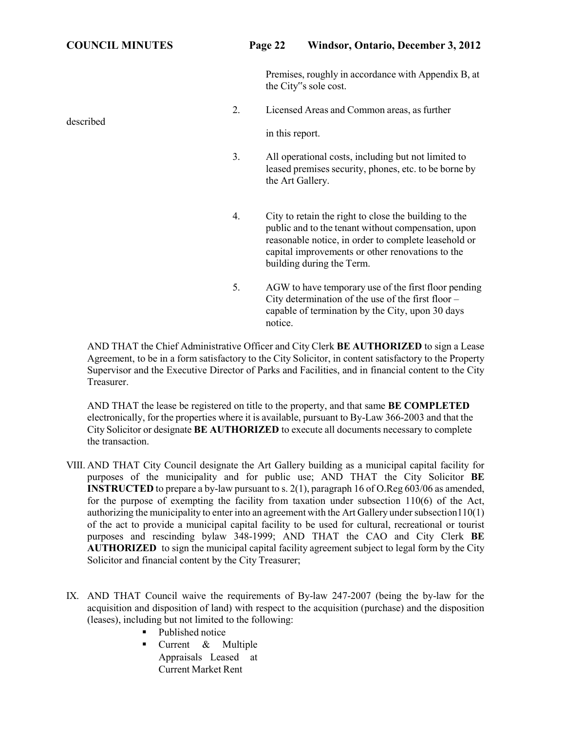# **COUNCIL MINUTES Page 22 Windsor, Ontario, December 3, 2012**

Premises, roughly in accordance with Appendix B, at the City"s sole cost.

2. Licensed Areas and Common areas, as further

in this report.

- 3. All operational costs, including but not limited to leased premises security, phones, etc. to be borne by the Art Gallery.
- 4. City to retain the right to close the building to the public and to the tenant without compensation, upon reasonable notice, in order to complete leasehold or capital improvements or other renovations to the building during the Term.
- 5. AGW to have temporary use of the first floor pending City determination of the use of the first floor – capable of termination by the City, upon 30 days notice.

AND THAT the Chief Administrative Officer and City Clerk **BE AUTHORIZED** to sign a Lease Agreement, to be in a form satisfactory to the City Solicitor, in content satisfactory to the Property Supervisor and the Executive Director of Parks and Facilities, and in financial content to the City Treasurer.

AND THAT the lease be registered on title to the property, and that same **BE COMPLETED** electronically, for the properties where it is available, pursuant to By-Law 366-2003 and that the City Solicitor or designate **BE AUTHORIZED** to execute all documents necessary to complete the transaction.

- VIII. AND THAT City Council designate the Art Gallery building as a municipal capital facility for purposes of the municipality and for public use; AND THAT the City Solicitor **BE INSTRUCTED** to prepare a by-law pursuant to s. 2(1), paragraph 16 of O.Reg 603/06 as amended, for the purpose of exempting the facility from taxation under subsection 110(6) of the Act, authorizing the municipality to enter into an agreement with the Art Gallery under subsection  $110(1)$ of the act to provide a municipal capital facility to be used for cultural, recreational or tourist purposes and rescinding bylaw 348-1999; AND THAT the CAO and City Clerk **BE AUTHORIZED** to sign the municipal capital facility agreement subject to legal form by the City Solicitor and financial content by the City Treasurer;
- IX. AND THAT Council waive the requirements of By-law 247-2007 (being the by-law for the acquisition and disposition of land) with respect to the acquisition (purchase) and the disposition (leases), including but not limited to the following:
	- Published notice
	- **•** Current & Multiple Appraisals Leased at Current Market Rent

described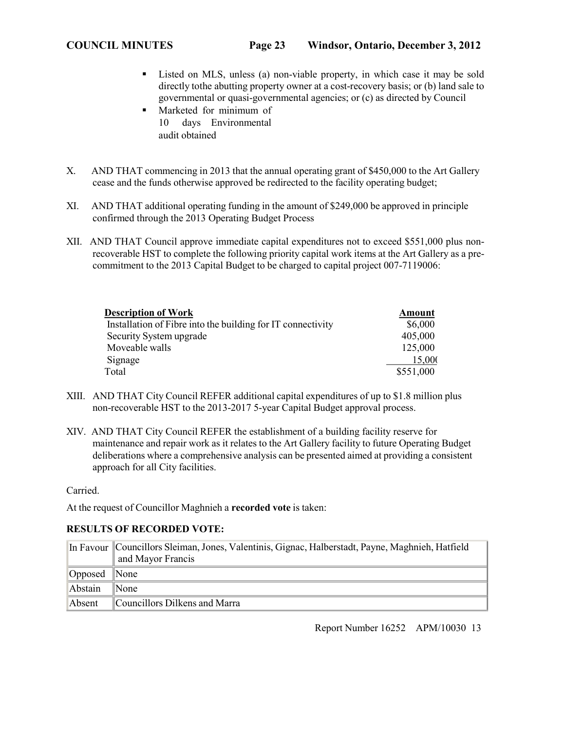- Listed on MLS, unless (a) non-viable property, in which case it may be sold directly tothe abutting property owner at a cost-recovery basis; or (b) land sale to governmental or quasi-governmental agencies; or (c) as directed by Council
- Marketed for minimum of 10 days Environmental audit obtained
- X. AND THAT commencing in 2013 that the annual operating grant of \$450,000 to the Art Gallery cease and the funds otherwise approved be redirected to the facility operating budget;
- XI. AND THAT additional operating funding in the amount of \$249,000 be approved in principle confirmed through the 2013 Operating Budget Process
- XII. AND THAT Council approve immediate capital expenditures not to exceed \$551,000 plus nonrecoverable HST to complete the following priority capital work items at the Art Gallery as a precommitment to the 2013 Capital Budget to be charged to capital project 007-7119006:

| <b>Description of Work</b>                                  | Amount    |
|-------------------------------------------------------------|-----------|
| Installation of Fibre into the building for IT connectivity | \$6,000   |
| Security System upgrade                                     | 405,000   |
| Moveable walls                                              | 125,000   |
| Signage                                                     | 15,000    |
| Total                                                       | \$551,000 |

- XIII. AND THAT City Council REFER additional capital expenditures of up to \$1.8 million plus non-recoverable HST to the 2013-2017 5-year Capital Budget approval process.
- XIV. AND THAT City Council REFER the establishment of a building facility reserve for maintenance and repair work as it relates to the Art Gallery facility to future Operating Budget deliberations where a comprehensive analysis can be presented aimed at providing a consistent approach for all City facilities.

Carried.

At the request of Councillor Maghnieh a **recorded vote** is taken:

## **RESULTS OF RECORDED VOTE:**

|         | In Favour   Councillors Sleiman, Jones, Valentinis, Gignac, Halberstadt, Payne, Maghnieh, Hatfield |
|---------|----------------------------------------------------------------------------------------------------|
|         | and Mayor Francis                                                                                  |
| Opposed | $\blacksquare$ None                                                                                |
| Abstain | $\mathbb{N}$ one                                                                                   |
| Absent  | Councillors Dilkens and Marra                                                                      |

Report Number 16252 APM/10030 13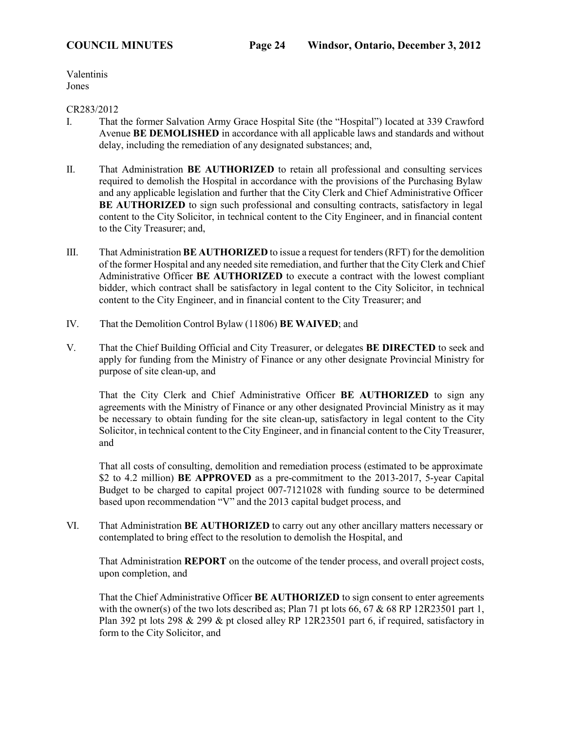Valentinis Jones

### CR283/2012

- I. That the former Salvation Army Grace Hospital Site (the "Hospital") located at 339 Crawford Avenue **BE DEMOLISHED** in accordance with all applicable laws and standards and without delay, including the remediation of any designated substances; and,
- II. That Administration **BE AUTHORIZED** to retain all professional and consulting services required to demolish the Hospital in accordance with the provisions of the Purchasing Bylaw and any applicable legislation and further that the City Clerk and Chief Administrative Officer **BE AUTHORIZED** to sign such professional and consulting contracts, satisfactory in legal content to the City Solicitor, in technical content to the City Engineer, and in financial content to the City Treasurer; and,
- III. That Administration **BE AUTHORIZED** to issue a request for tenders(RFT) for the demolition of the former Hospital and any needed site remediation, and further that the City Clerk and Chief Administrative Officer **BE AUTHORIZED** to execute a contract with the lowest compliant bidder, which contract shall be satisfactory in legal content to the City Solicitor, in technical content to the City Engineer, and in financial content to the City Treasurer; and
- IV. That the Demolition Control Bylaw (11806) **BE WAIVED**; and
- V. That the Chief Building Official and City Treasurer, or delegates **BE DIRECTED** to seek and apply for funding from the Ministry of Finance or any other designate Provincial Ministry for purpose of site clean-up, and

That the City Clerk and Chief Administrative Officer **BE AUTHORIZED** to sign any agreements with the Ministry of Finance or any other designated Provincial Ministry as it may be necessary to obtain funding for the site clean-up, satisfactory in legal content to the City Solicitor, in technical content to the City Engineer, and in financial content to the City Treasurer, and

That all costs of consulting, demolition and remediation process (estimated to be approximate \$2 to 4.2 million) **BE APPROVED** as a pre-commitment to the 2013-2017, 5-year Capital Budget to be charged to capital project 007-7121028 with funding source to be determined based upon recommendation "V" and the 2013 capital budget process, and

VI. That Administration **BE AUTHORIZED** to carry out any other ancillary matters necessary or contemplated to bring effect to the resolution to demolish the Hospital, and

That Administration **REPORT** on the outcome of the tender process, and overall project costs, upon completion, and

That the Chief Administrative Officer **BE AUTHORIZED** to sign consent to enter agreements with the owner(s) of the two lots described as; Plan 71 pt lots 66, 67 & 68 RP 12R23501 part 1, Plan 392 pt lots 298 & 299 & pt closed alley RP 12R23501 part 6, if required, satisfactory in form to the City Solicitor, and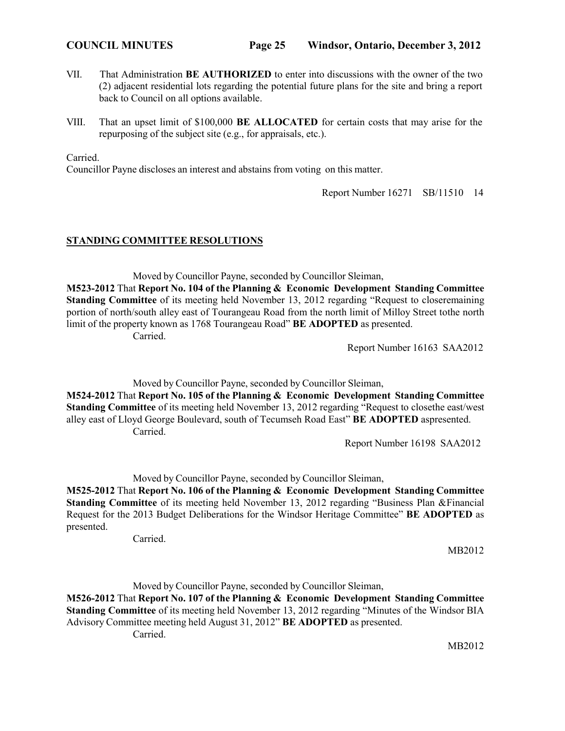- VII. That Administration **BE AUTHORIZED** to enter into discussions with the owner of the two (2) adjacent residential lots regarding the potential future plans for the site and bring a report back to Council on all options available.
- VIII. That an upset limit of \$100,000 **BE ALLOCATED** for certain costs that may arise for the repurposing of the subject site (e.g., for appraisals, etc.).

Carried.

Councillor Payne discloses an interest and abstains from voting on this matter.

Report Number 16271 SB/11510 14

# **STANDING COMMITTEE RESOLUTIONS**

Moved by Councillor Payne, seconded by Councillor Sleiman, **M523-2012** That **Report No. 104 of the Planning & Economic Development Standing Committee Standing Committee** of its meeting held November 13, 2012 regarding "Request to closeremaining portion of north/south alley east of Tourangeau Road from the north limit of Milloy Street tothe north limit of the property known as 1768 Tourangeau Road" **BE ADOPTED** as presented. Carried.

Report Number 16163 SAA2012

Moved by Councillor Payne, seconded by Councillor Sleiman, **M524-2012** That **Report No. 105 of the Planning & Economic Development Standing Committee Standing Committee** of its meeting held November 13, 2012 regarding "Request to closethe east/west alley east of Lloyd George Boulevard, south of Tecumseh Road East" **BE ADOPTED** aspresented. Carried.

Report Number 16198 SAA2012

Moved by Councillor Payne, seconded by Councillor Sleiman,

**M525-2012** That **Report No. 106 of the Planning & Economic Development Standing Committee Standing Committee** of its meeting held November 13, 2012 regarding "Business Plan &Financial Request for the 2013 Budget Deliberations for the Windsor Heritage Committee" **BE ADOPTED** as presented.

Carried.

MB2012

Moved by Councillor Payne, seconded by Councillor Sleiman,

**M526-2012** That **Report No. 107 of the Planning & Economic Development Standing Committee Standing Committee** of its meeting held November 13, 2012 regarding "Minutes of the Windsor BIA Advisory Committee meeting held August 31, 2012" **BE ADOPTED** as presented. Carried.

MB2012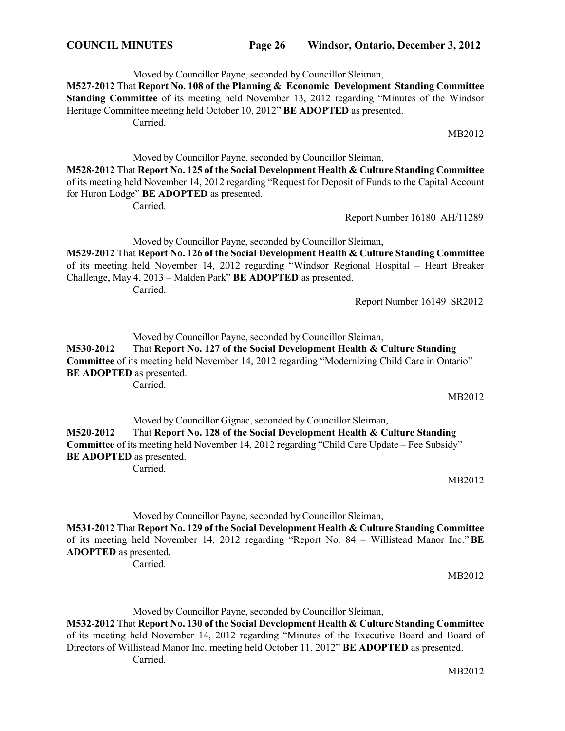MB2012

Moved by Councillor Payne, seconded by Councillor Sleiman, **M527-2012** That **Report No. 108 of the Planning & Economic Development Standing Committee Standing Committee** of its meeting held November 13, 2012 regarding "Minutes of the Windsor Heritage Committee meeting held October 10, 2012" **BE ADOPTED** as presented. Carried. MB2012

Moved by Councillor Payne, seconded by Councillor Sleiman, **M528-2012** That **Report No. 125 of the Social Development Health & Culture Standing Committee**  of its meeting held November 14, 2012 regarding "Request for Deposit of Funds to the Capital Account for Huron Lodge" **BE ADOPTED** as presented.

Carried.

Report Number 16180 AH/11289

Moved by Councillor Payne, seconded by Councillor Sleiman,

**M529-2012** That **Report No. 126 of the Social Development Health & Culture Standing Committee**  of its meeting held November 14, 2012 regarding "Windsor Regional Hospital – Heart Breaker Challenge, May 4, 2013 – Malden Park" **BE ADOPTED** as presented. Carried.

Report Number 16149 SR2012

Moved by Councillor Payne, seconded by Councillor Sleiman,

**M530-2012** That **Report No. 127 of the Social Development Health & Culture Standing Committee** of its meeting held November 14, 2012 regarding "Modernizing Child Care in Ontario" **BE ADOPTED** as presented. Carried.

Moved by Councillor Gignac, seconded by Councillor Sleiman, **M520-2012** That **Report No. 128 of the Social Development Health & Culture Standing Committee** of its meeting held November 14, 2012 regarding "Child Care Update – Fee Subsidy" **BE ADOPTED** as presented. Carried.

MB2012

Moved by Councillor Payne, seconded by Councillor Sleiman,

**M531-2012** That **Report No. 129 of the Social Development Health & Culture Standing Committee** of its meeting held November 14, 2012 regarding "Report No. 84 – Willistead Manor Inc."**BE ADOPTED** as presented.

Carried.

MB2012

Moved by Councillor Payne, seconded by Councillor Sleiman,

**M532-2012** That **Report No. 130 of the Social Development Health & Culture Standing Committee**  of its meeting held November 14, 2012 regarding "Minutes of the Executive Board and Board of Directors of Willistead Manor Inc. meeting held October 11, 2012" **BE ADOPTED** as presented. Carried.

MB2012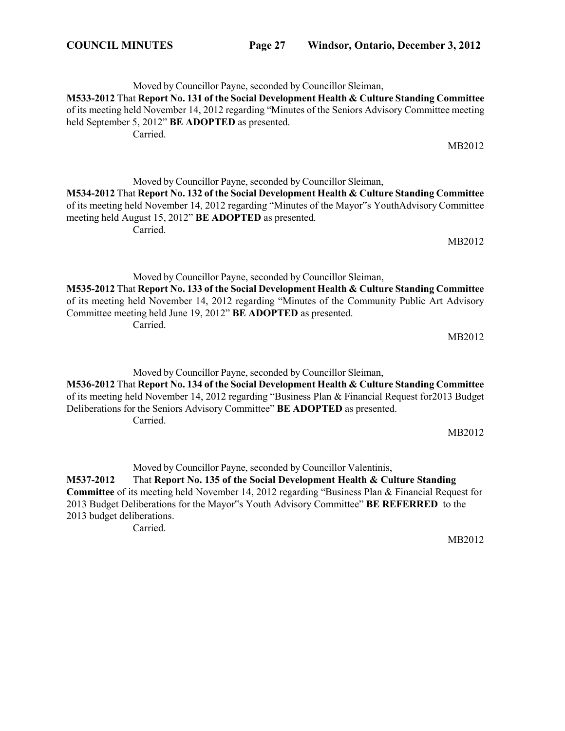Moved by Councillor Payne, seconded by Councillor Sleiman, **M533-2012** That **Report No. 131 of the Social Development Health & Culture Standing Committee**  of its meeting held November 14, 2012 regarding "Minutes of the Seniors Advisory Committee meeting held September 5, 2012" **BE ADOPTED** as presented. Carried.

Moved by Councillor Payne, seconded by Councillor Sleiman, **M534-2012** That **Report No. 132 of the Social Development Health & Culture Standing Committee** of its meeting held November 14, 2012 regarding "Minutes of the Mayor"s YouthAdvisory Committee meeting held August 15, 2012" **BE ADOPTED** as presented. Carried.

Moved by Councillor Payne, seconded by Councillor Sleiman, **M535-2012** That **Report No. 133 of the Social Development Health & Culture Standing Committee**  of its meeting held November 14, 2012 regarding "Minutes of the Community Public Art Advisory Committee meeting held June 19, 2012" **BE ADOPTED** as presented. Carried.

Moved by Councillor Payne, seconded by Councillor Sleiman, **M536-2012** That **Report No. 134 of the Social Development Health & Culture Standing Committee**  of its meeting held November 14, 2012 regarding "Business Plan & Financial Request for2013 Budget Deliberations for the Seniors Advisory Committee" **BE ADOPTED** as presented. Carried.

Moved by Councillor Payne, seconded by Councillor Valentinis, **M537-2012** That **Report No. 135 of the Social Development Health & Culture Standing Committee** of its meeting held November 14, 2012 regarding "Business Plan & Financial Request for 2013 Budget Deliberations for the Mayor"s Youth Advisory Committee" **BE REFERRED** to the 2013 budget deliberations. Carried.

MB2012

MB2012

MB2012

MB2012

MB2012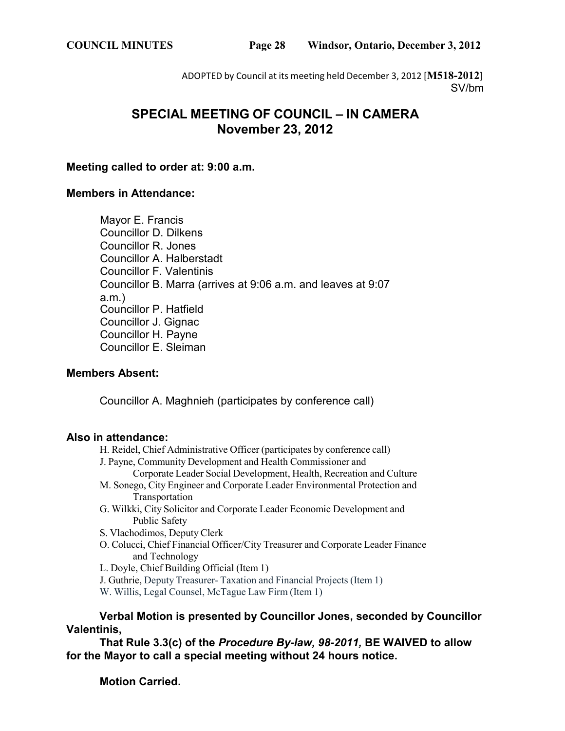ADOPTED by Council at its meeting held December 3, 2012 [**M518-2012**] SV/bm

# **SPECIAL MEETING OF COUNCIL – IN CAMERA November 23, 2012**

# **Meeting called to order at: 9:00 a.m.**

# **Members in Attendance:**

Mayor E. Francis Councillor D. Dilkens Councillor R. Jones Councillor A. Halberstadt Councillor F. Valentinis Councillor B. Marra (arrives at 9:06 a.m. and leaves at 9:07 a.m.) Councillor P. Hatfield Councillor J. Gignac Councillor H. Payne Councillor E. Sleiman

# **Members Absent:**

Councillor A. Maghnieh (participates by conference call)

# **Also in attendance:**

H. Reidel, Chief Administrative Officer (participates by conference call) J. Payne, Community Development and Health Commissioner and Corporate Leader Social Development, Health, Recreation and Culture M. Sonego, City Engineer and Corporate Leader Environmental Protection and Transportation G. Wilkki, City Solicitor and Corporate Leader Economic Development and Public Safety S. Vlachodimos, Deputy Clerk O. Colucci, Chief Financial Officer/City Treasurer and Corporate Leader Finance and Technology

L. Doyle, Chief Building Official (Item 1)

J. Guthrie, Deputy Treasurer- Taxation and Financial Projects (Item 1)

W. Willis, Legal Counsel, McTague Law Firm (Item 1)

**Verbal Motion is presented by Councillor Jones, seconded by Councillor Valentinis,**

**That Rule 3.3(c) of the** *Procedure By-law, 98-2011,* **BE WAIVED to allow for the Mayor to call a special meeting without 24 hours notice.**

**Motion Carried.**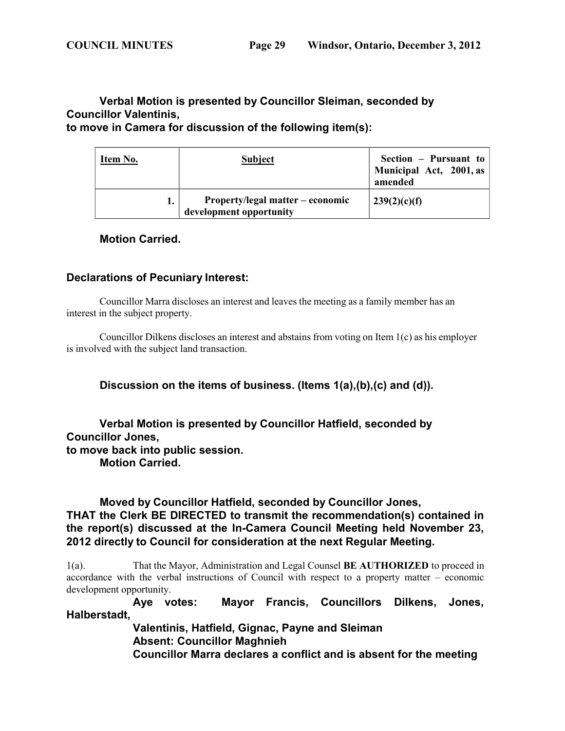# **Verbal Motion is presented by Councillor Sleiman, seconded by Councillor Valentinis, to move in Camera for discussion of the following item(s):**

**development opportunity**

**Item No. Subject Section – Pursuant to Municipal Act, 2001, as amended 1. Property/legal matter – economic 239(2)(c)(f)**

# **Motion Carried.**

# **Declarations of Pecuniary Interest:**

Councillor Marra discloses an interest and leaves the meeting as a family member has an interest in the subject property.

Councillor Dilkens discloses an interest and abstains from voting on Item 1(c) as his employer is involved with the subject land transaction.

**Discussion on the items of business. (Items 1(a),(b),(c) and (d)).**

**Verbal Motion is presented by Councillor Hatfield, seconded by Councillor Jones, to move back into public session. Motion Carried.**

**Moved by Councillor Hatfield, seconded by Councillor Jones, THAT the Clerk BE DIRECTED to transmit the recommendation(s) contained in the report(s) discussed at the In-Camera Council Meeting held November 23, 2012 directly to Council for consideration at the next Regular Meeting.**

1(a). That the Mayor, Administration and Legal Counsel **BE AUTHORIZED** to proceed in accordance with the verbal instructions of Council with respect to a property matter – economic development opportunity.

**Aye votes: Mayor Francis, Councillors Dilkens, Jones, Halberstadt,**

> **Valentinis, Hatfield, Gignac, Payne and Sleiman Absent: Councillor Maghnieh Councillor Marra declares a conflict and is absent for the meeting**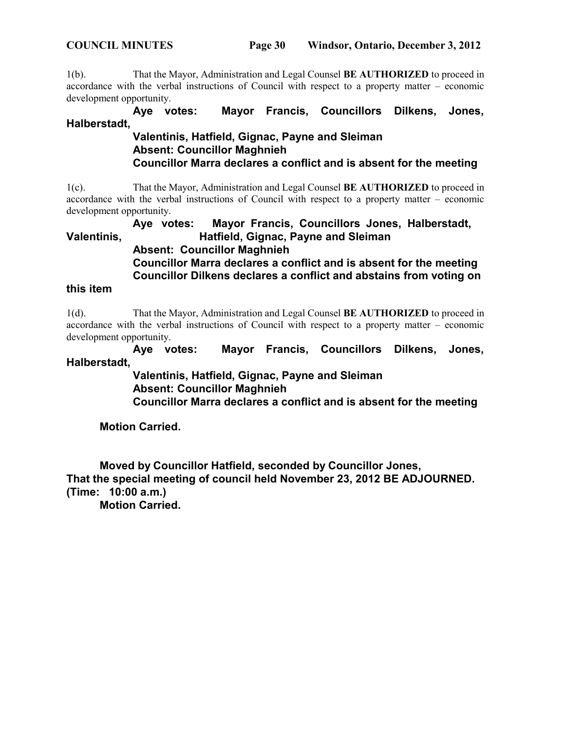1(b). That the Mayor, Administration and Legal Counsel **BE AUTHORIZED** to proceed in accordance with the verbal instructions of Council with respect to a property matter – economic development opportunity.

**Aye votes: Mayor Francis, Councillors Dilkens, Jones, Halberstadt,**

# **Valentinis, Hatfield, Gignac, Payne and Sleiman Absent: Councillor Maghnieh Councillor Marra declares a conflict and is absent for the meeting**

1(c). That the Mayor, Administration and Legal Counsel **BE AUTHORIZED** to proceed in accordance with the verbal instructions of Council with respect to a property matter – economic development opportunity.

**Aye votes: Mayor Francis, Councillors Jones, Halberstadt, Valentinis, Hatfield, Gignac, Payne and Sleiman Absent: Councillor Maghnieh Councillor Marra declares a conflict and is absent for the meeting Councillor Dilkens declares a conflict and abstains from voting on**

# **this item**

1(d). That the Mayor, Administration and Legal Counsel **BE AUTHORIZED** to proceed in accordance with the verbal instructions of Council with respect to a property matter – economic development opportunity.

**Aye votes: Mayor Francis, Councillors Dilkens, Jones, Halberstadt,**

> **Valentinis, Hatfield, Gignac, Payne and Sleiman Absent: Councillor Maghnieh Councillor Marra declares a conflict and is absent for the meeting**

**Motion Carried.**

**Moved by Councillor Hatfield, seconded by Councillor Jones, That the special meeting of council held November 23, 2012 BE ADJOURNED. (Time: 10:00 a.m.)**

**Motion Carried.**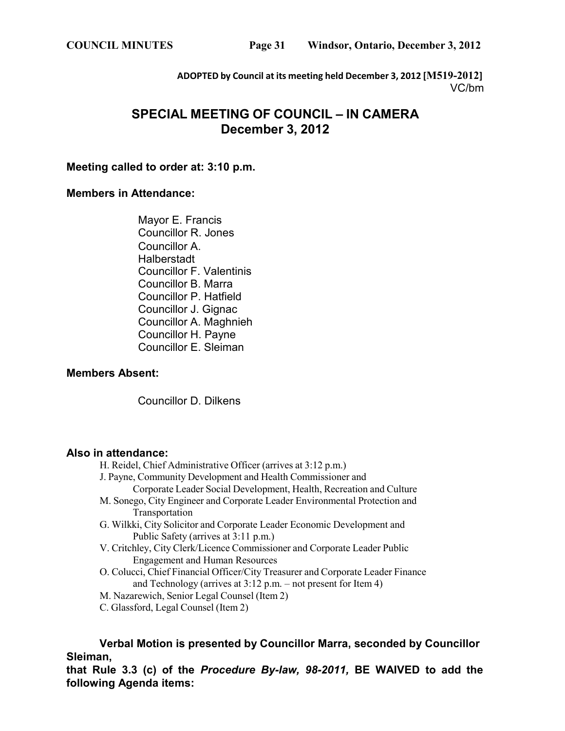**ADOPTED by Council at its meeting held December 3, 2012 [M519-2012]** VC/bm

# **SPECIAL MEETING OF COUNCIL – IN CAMERA December 3, 2012**

# **Meeting called to order at: 3:10 p.m.**

# **Members in Attendance:**

Mayor E. Francis Councillor R. Jones Councillor A. **Halberstadt** Councillor F. Valentinis Councillor B. Marra Councillor P. Hatfield Councillor J. Gignac Councillor A. Maghnieh Councillor H. Payne Councillor E. Sleiman

# **Members Absent:**

Councillor D. Dilkens

# **Also in attendance:**

- H. Reidel, Chief Administrative Officer (arrives at 3:12 p.m.)
- J. Payne, Community Development and Health Commissioner and
	- Corporate Leader Social Development, Health, Recreation and Culture
- M. Sonego, City Engineer and Corporate Leader Environmental Protection and Transportation
- G. Wilkki, City Solicitor and Corporate Leader Economic Development and Public Safety (arrives at 3:11 p.m.)
- V. Critchley, City Clerk/Licence Commissioner and Corporate Leader Public Engagement and Human Resources
- O. Colucci, Chief Financial Officer/City Treasurer and Corporate Leader Finance and Technology (arrives at 3:12 p.m. – not present for Item 4)
- M. Nazarewich, Senior Legal Counsel (Item 2)
- C. Glassford, Legal Counsel (Item 2)

**Verbal Motion is presented by Councillor Marra, seconded by Councillor Sleiman,**

**that Rule 3.3 (c) of the** *Procedure By-law, 98-2011,* **BE WAIVED to add the following Agenda items:**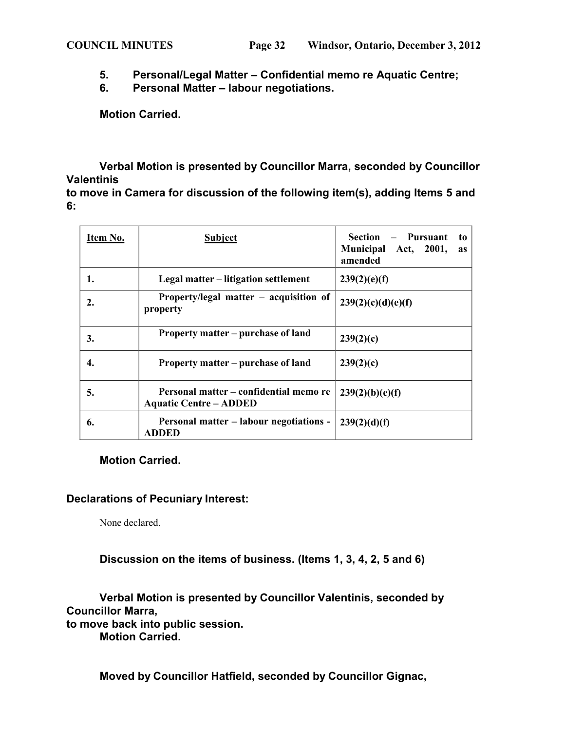- **5. Personal/Legal Matter – Confidential memo re Aquatic Centre;**
- **6. Personal Matter – labour negotiations.**

**Motion Carried.**

# **Verbal Motion is presented by Councillor Marra, seconded by Councillor Valentinis**

**to move in Camera for discussion of the following item(s), adding Items 5 and 6:**

| Item No. | <b>Subject</b>                                                          | Section – Pursuant<br>to<br>Municipal Act, 2001,<br>as<br>amended |
|----------|-------------------------------------------------------------------------|-------------------------------------------------------------------|
| 1.       | Legal matter – litigation settlement                                    | 239(2)(e)(f)                                                      |
| 2.       | Property/legal matter – acquisition of<br>property                      | 239(2)(c)(d)(e)(f)                                                |
| 3.       | Property matter – purchase of land                                      | 239(2)(c)                                                         |
| 4.       | Property matter – purchase of land                                      | 239(2)(c)                                                         |
| 5.       | Personal matter – confidential memo re<br><b>Aquatic Centre – ADDED</b> | 239(2)(b)(e)(f)                                                   |
| 6.       | <b>Personal matter – labour negotiations -</b><br><b>ADDED</b>          | 239(2)(d)(f)                                                      |

**Motion Carried.**

# **Declarations of Pecuniary Interest:**

None declared.

**Discussion on the items of business. (Items 1, 3, 4, 2, 5 and 6)**

**Verbal Motion is presented by Councillor Valentinis, seconded by Councillor Marra, to move back into public session.**

**Motion Carried.**

**Moved by Councillor Hatfield, seconded by Councillor Gignac,**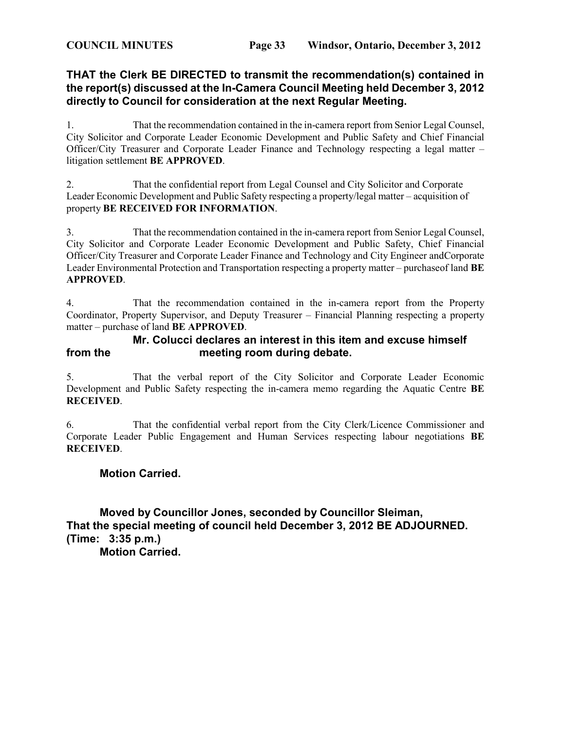# **THAT the Clerk BE DIRECTED to transmit the recommendation(s) contained in the report(s) discussed at the In-Camera Council Meeting held December 3, 2012 directly to Council for consideration at the next Regular Meeting.**

1. That the recommendation contained in the in-camera report from Senior Legal Counsel, City Solicitor and Corporate Leader Economic Development and Public Safety and Chief Financial Officer/City Treasurer and Corporate Leader Finance and Technology respecting a legal matter – litigation settlement **BE APPROVED**.

2. That the confidential report from Legal Counsel and City Solicitor and Corporate Leader Economic Development and Public Safety respecting a property/legal matter – acquisition of property **BE RECEIVED FOR INFORMATION**.

3. That the recommendation contained in the in-camera report from Senior Legal Counsel, City Solicitor and Corporate Leader Economic Development and Public Safety, Chief Financial Officer/City Treasurer and Corporate Leader Finance and Technology and City Engineer andCorporate Leader Environmental Protection and Transportation respecting a property matter – purchaseof land **BE APPROVED**.

4. That the recommendation contained in the in-camera report from the Property Coordinator, Property Supervisor, and Deputy Treasurer – Financial Planning respecting a property matter – purchase of land **BE APPROVED**.

# **Mr. Colucci declares an interest in this item and excuse himself from the meeting room during debate.**

5. That the verbal report of the City Solicitor and Corporate Leader Economic Development and Public Safety respecting the in-camera memo regarding the Aquatic Centre **BE RECEIVED**.

6. That the confidential verbal report from the City Clerk/Licence Commissioner and Corporate Leader Public Engagement and Human Services respecting labour negotiations **BE RECEIVED**.

# **Motion Carried.**

**Moved by Councillor Jones, seconded by Councillor Sleiman, That the special meeting of council held December 3, 2012 BE ADJOURNED. (Time: 3:35 p.m.) Motion Carried.**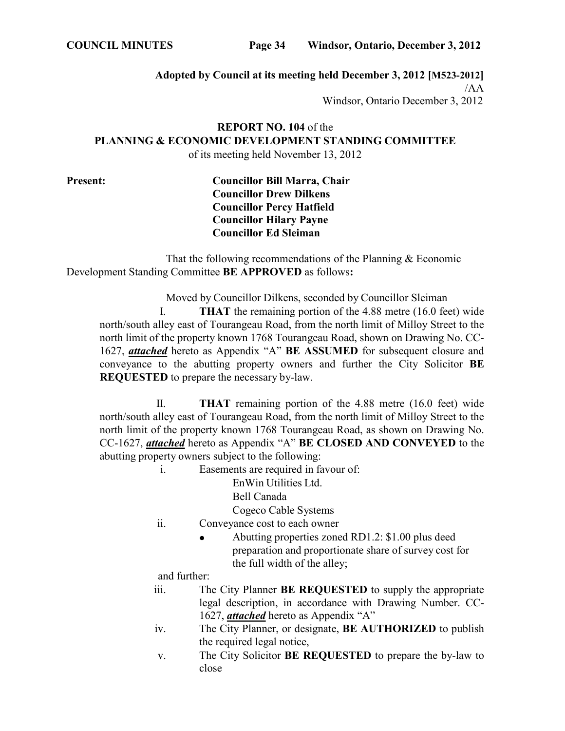**COUNCIL MINUTES Page 34 Windsor, Ontario, December 3, 2012**

**Adopted by Council at its meeting held December 3, 2012 [M523-2012]**

/AA

Windsor, Ontario December 3, 2012

**REPORT NO. 104** of the **PLANNING & ECONOMIC DEVELOPMENT STANDING COMMITTEE** of its meeting held November 13, 2012

**Present: Councillor Bill Marra, Chair Councillor Drew Dilkens Councillor Percy Hatfield Councillor Hilary Payne Councillor Ed Sleiman**

That the following recommendations of the Planning & Economic Development Standing Committee **BE APPROVED** as follows**:**

Moved by Councillor Dilkens, seconded by Councillor Sleiman

I. **THAT** the remaining portion of the 4.88 metre (16.0 feet) wide north/south alley east of Tourangeau Road, from the north limit of Milloy Street to the north limit of the property known 1768 Tourangeau Road, shown on Drawing No. CC-1627, *attached* hereto as Appendix "A" **BE ASSUMED** for subsequent closure and conveyance to the abutting property owners and further the City Solicitor **BE REQUESTED** to prepare the necessary by-law.

II. **THAT** remaining portion of the 4.88 metre (16.0 feet) wide north/south alley east of Tourangeau Road, from the north limit of Milloy Street to the north limit of the property known 1768 Tourangeau Road, as shown on Drawing No. CC-1627, *attached* hereto as Appendix "A" **BE CLOSED AND CONVEYED** to the abutting property owners subject to the following:

i. Easements are required in favour of:

EnWin Utilities Ltd.

Bell Canada

Cogeco Cable Systems

- ii. Conveyance cost to each owner
	- Abutting properties zoned RD1.2: \$1.00 plus deed preparation and proportionate share of survey cost for the full width of the alley;

and further:

- iii. The City Planner **BE REQUESTED** to supply the appropriate legal description, in accordance with Drawing Number. CC-1627, *attached* hereto as Appendix "A"
- iv. The City Planner, or designate, **BE AUTHORIZED** to publish the required legal notice,
- v. The City Solicitor **BE REQUESTED** to prepare the by-law to close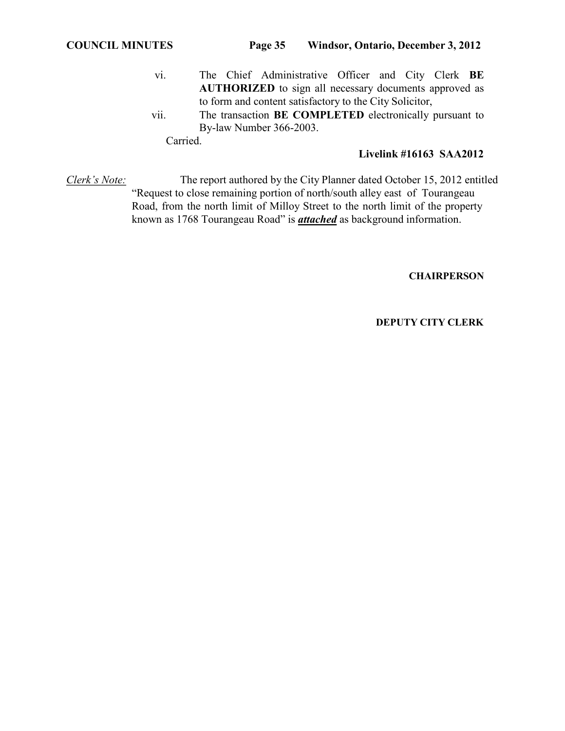- vi. The Chief Administrative Officer and City Clerk **BE AUTHORIZED** to sign all necessary documents approved as to form and content satisfactory to the City Solicitor,
- vii. The transaction **BE COMPLETED** electronically pursuant to By-law Number 366-2003.

Carried.

# **Livelink #16163 SAA2012**

*Clerk's Note:* The report authored by the City Planner dated October 15, 2012 entitled "Request to close remaining portion of north/south alley east of Tourangeau Road, from the north limit of Milloy Street to the north limit of the property known as 1768 Tourangeau Road" is *attached* as background information.

**CHAIRPERSON**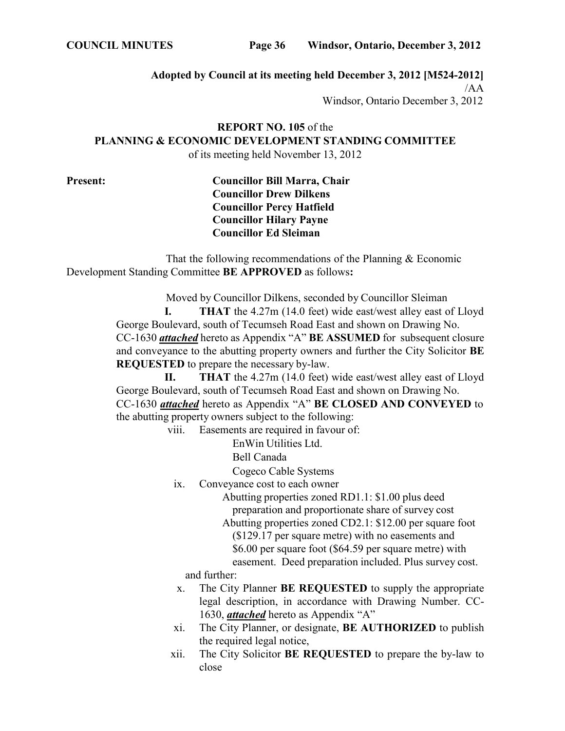**COUNCIL MINUTES Page 36 Windsor, Ontario, December 3, 2012**

**Adopted by Council at its meeting held December 3, 2012 [M524-2012]**

/AA

Windsor, Ontario December 3, 2012

**REPORT NO. 105** of the **PLANNING & ECONOMIC DEVELOPMENT STANDING COMMITTEE** of its meeting held November 13, 2012

**Present: Councillor Bill Marra, Chair Councillor Drew Dilkens Councillor Percy Hatfield Councillor Hilary Payne Councillor Ed Sleiman**

That the following recommendations of the Planning & Economic Development Standing Committee **BE APPROVED** as follows**:**

> Moved by Councillor Dilkens, seconded by Councillor Sleiman **I. THAT** the 4.27m (14.0 feet) wide east/west alley east of Lloyd George Boulevard, south of Tecumseh Road East and shown on Drawing No. CC-1630 *attached* hereto as Appendix "A" **BE ASSUMED** for subsequent closure and conveyance to the abutting property owners and further the City Solicitor **BE REQUESTED** to prepare the necessary by-law.

> **II. THAT** the 4.27m (14.0 feet) wide east/west alley east of Lloyd George Boulevard, south of Tecumseh Road East and shown on Drawing No. CC-1630 *attached* hereto as Appendix "A" **BE CLOSED AND CONVEYED** to the abutting property owners subject to the following:

> > viii. Easements are required in favour of:

EnWin Utilities Ltd.

Bell Canada

Cogeco Cable Systems

ix. Conveyance cost to each owner

Abutting properties zoned RD1.1: \$1.00 plus deed preparation and proportionate share of survey cost Abutting properties zoned CD2.1: \$12.00 per square foot (\$129.17 per square metre) with no easements and \$6.00 per square foot (\$64.59 per square metre) with easement. Deed preparation included. Plus survey cost.

and further:

- x. The City Planner **BE REQUESTED** to supply the appropriate legal description, in accordance with Drawing Number. CC-1630, *attached* hereto as Appendix "A"
- xi. The City Planner, or designate, **BE AUTHORIZED** to publish the required legal notice,
- xii. The City Solicitor **BE REQUESTED** to prepare the by-law to close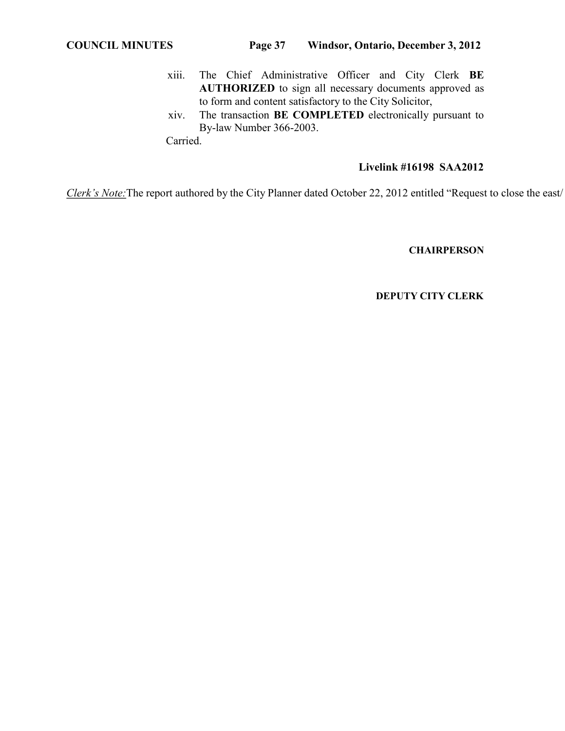- xiii. The Chief Administrative Officer and City Clerk **BE AUTHORIZED** to sign all necessary documents approved as to form and content satisfactory to the City Solicitor,
- xiv. The transaction **BE COMPLETED** electronically pursuant to By-law Number 366-2003.

Carried.

# **Livelink #16198 SAA2012**

*Clerk's Note:*The report authored by the City Planner dated October 22, 2012 entitled "Request to close the east/

# **CHAIRPERSON**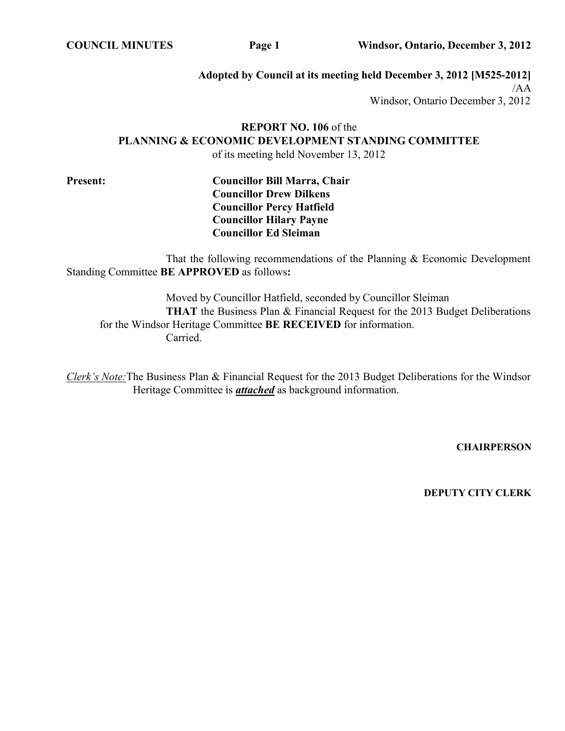**COUNCIL MINUTES Page 1 Windsor, Ontario, December 3, 2012**

**Adopted by Council at its meeting held December 3, 2012 [M525-2012]** /AA Windsor, Ontario December 3, 2012

# **REPORT NO. 106** of the **PLANNING & ECONOMIC DEVELOPMENT STANDING COMMITTEE** of its meeting held November 13, 2012

**Present: Councillor Bill Marra, Chair Councillor Drew Dilkens Councillor Percy Hatfield Councillor Hilary Payne Councillor Ed Sleiman**

That the following recommendations of the Planning & Economic Development Standing Committee **BE APPROVED** as follows**:**

Moved by Councillor Hatfield, seconded by Councillor Sleiman **THAT** the Business Plan & Financial Request for the 2013 Budget Deliberations for the Windsor Heritage Committee **BE RECEIVED** for information. Carried.

*Clerk's Note:*The Business Plan & Financial Request for the 2013 Budget Deliberations for the Windsor Heritage Committee is *attached* as background information.

**CHAIRPERSON**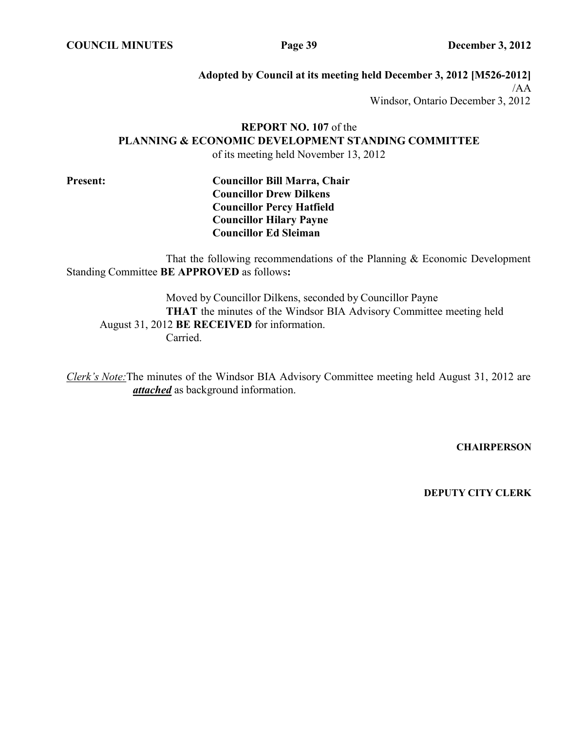**COUNCIL MINUTES Page 39 December 3, 2012**

**Adopted by Council at its meeting held December 3, 2012 [M526-2012]** /AA Windsor, Ontario December 3, 2012

# **REPORT NO. 107** of the **PLANNING & ECONOMIC DEVELOPMENT STANDING COMMITTEE** of its meeting held November 13, 2012

**Present: Councillor Bill Marra, Chair Councillor Drew Dilkens Councillor Percy Hatfield Councillor Hilary Payne Councillor Ed Sleiman**

That the following recommendations of the Planning & Economic Development Standing Committee **BE APPROVED** as follows**:**

Moved by Councillor Dilkens, seconded by Councillor Payne **THAT** the minutes of the Windsor BIA Advisory Committee meeting held August 31, 2012 **BE RECEIVED** for information. Carried.

*Clerk's Note:*The minutes of the Windsor BIA Advisory Committee meeting held August 31, 2012 are *attached* as background information.

**CHAIRPERSON**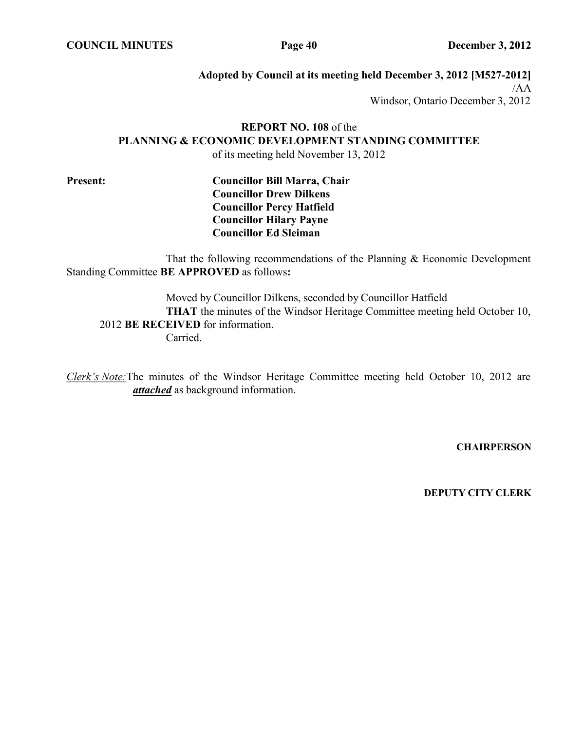**COUNCIL MINUTES Page 40 December 3, 2012**

**Adopted by Council at its meeting held December 3, 2012 [M527-2012]** /AA Windsor, Ontario December 3, 2012

# **REPORT NO. 108** of the **PLANNING & ECONOMIC DEVELOPMENT STANDING COMMITTEE** of its meeting held November 13, 2012

**Present: Councillor Bill Marra, Chair Councillor Drew Dilkens Councillor Percy Hatfield Councillor Hilary Payne Councillor Ed Sleiman**

That the following recommendations of the Planning & Economic Development Standing Committee **BE APPROVED** as follows**:**

Moved by Councillor Dilkens, seconded by Councillor Hatfield **THAT** the minutes of the Windsor Heritage Committee meeting held October 10, 2012 **BE RECEIVED** for information. Carried.

*Clerk's Note:*The minutes of the Windsor Heritage Committee meeting held October 10, 2012 are *attached* as background information.

**CHAIRPERSON**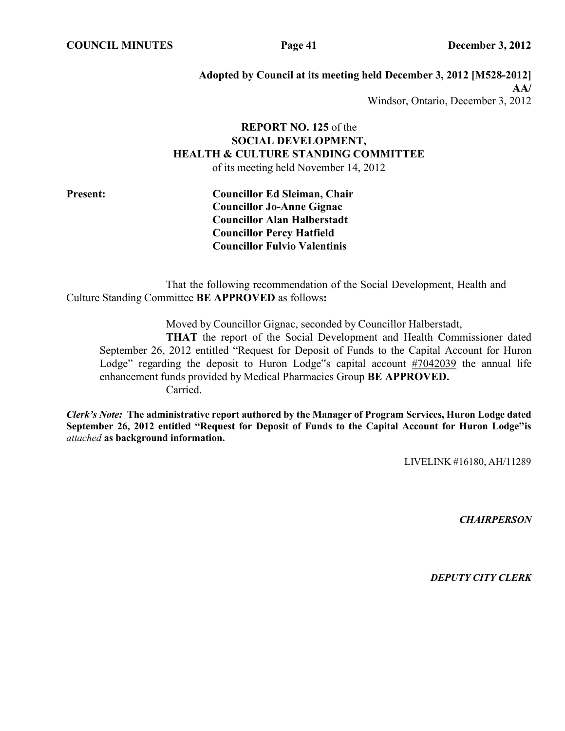**COUNCIL MINUTES Page 41 December 3, 2012**

**Adopted by Council at its meeting held December 3, 2012 [M528-2012] AA/** Windsor, Ontario, December 3, 2012

# **REPORT NO. 125** of the **SOCIAL DEVELOPMENT, HEALTH & CULTURE STANDING COMMITTEE**

of its meeting held November 14, 2012

**Present: Councillor Ed Sleiman, Chair Councillor Jo-Anne Gignac Councillor Alan Halberstadt Councillor Percy Hatfield Councillor Fulvio Valentinis**

That the following recommendation of the Social Development, Health and Culture Standing Committee **BE APPROVED** as follows**:**

Moved by Councillor Gignac, seconded by Councillor Halberstadt,

**THAT** the report of the Social Development and Health Commissioner dated September 26, 2012 entitled "Request for Deposit of Funds to the Capital Account for Huron Lodge" regarding the deposit to Huron Lodge"s capital account #7042039 the annual life enhancement funds provided by Medical Pharmacies Group **BE APPROVED.** Carried.

*Clerk's Note:* **The administrative report authored by the Manager of Program Services, Huron Lodge dated September 26, 2012 entitled "Request for Deposit of Funds to the Capital Account for Huron Lodge"is** *attached* **as background information.**

LIVELINK #16180, AH/11289

*CHAIRPERSON*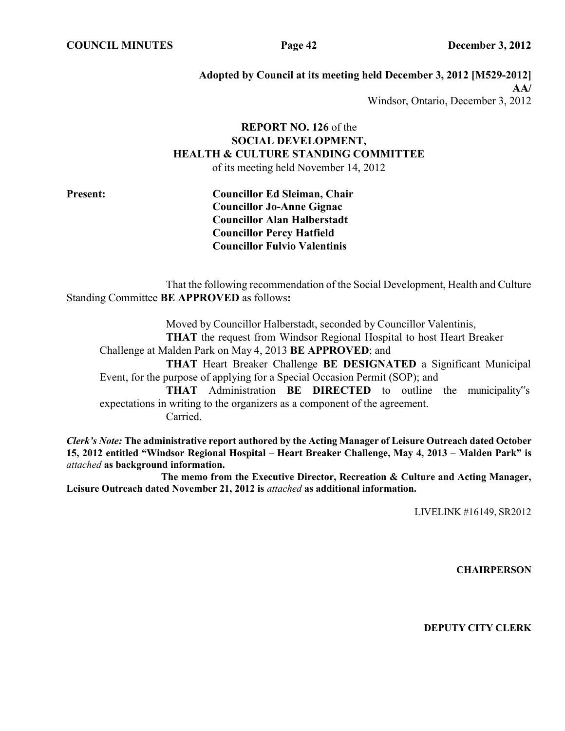**COUNCIL MINUTES Page 42 December 3, 2012**

**Adopted by Council at its meeting held December 3, 2012 [M529-2012] AA/** Windsor, Ontario, December 3, 2012

# **REPORT NO. 126** of the **SOCIAL DEVELOPMENT, HEALTH & CULTURE STANDING COMMITTEE** of its meeting held November 14, 2012

**Present: Councillor Ed Sleiman, Chair Councillor Jo-Anne Gignac Councillor Alan Halberstadt Councillor Percy Hatfield Councillor Fulvio Valentinis**

That the following recommendation of the Social Development, Health and Culture Standing Committee **BE APPROVED** as follows**:**

Moved by Councillor Halberstadt, seconded by Councillor Valentinis, **THAT** the request from Windsor Regional Hospital to host Heart Breaker Challenge at Malden Park on May 4, 2013 **BE APPROVED**; and **THAT** Heart Breaker Challenge **BE DESIGNATED** a Significant Municipal Event, for the purpose of applying for a Special Occasion Permit (SOP); and **THAT** Administration **BE DIRECTED** to outline the municipality"s expectations in writing to the organizers as a component of the agreement. Carried.

*Clerk's Note:* **The administrative report authored by the Acting Manager of Leisure Outreach dated October 15, 2012 entitled "Windsor Regional Hospital – Heart Breaker Challenge, May 4, 2013 – Malden Park" is** *attached* **as background information.**

**The memo from the Executive Director, Recreation & Culture and Acting Manager, Leisure Outreach dated November 21, 2012 is** *attached* **as additional information.**

LIVELINK #16149, SR2012

**CHAIRPERSON**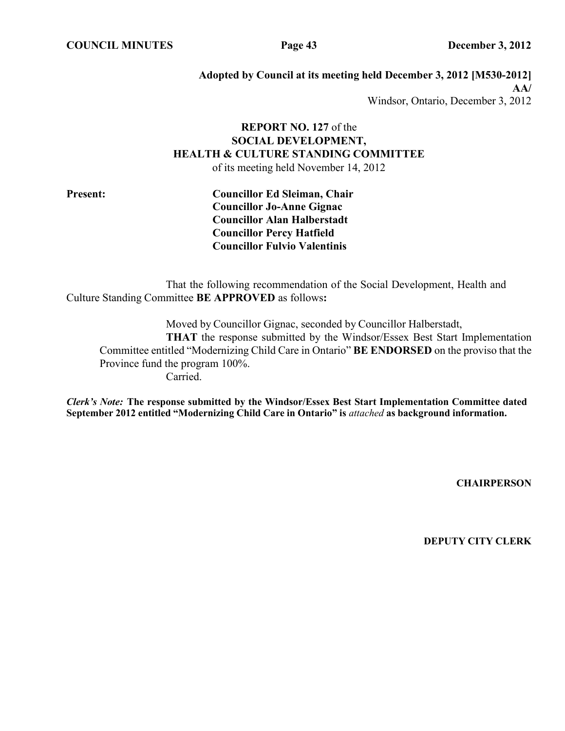**COUNCIL MINUTES Page 43 December 3, 2012**

**Adopted by Council at its meeting held December 3, 2012 [M530-2012] AA/** Windsor, Ontario, December 3, 2012

# **REPORT NO. 127** of the **SOCIAL DEVELOPMENT, HEALTH & CULTURE STANDING COMMITTEE** of its meeting held November 14, 2012

**Present: Councillor Ed Sleiman, Chair Councillor Jo-Anne Gignac Councillor Alan Halberstadt Councillor Percy Hatfield Councillor Fulvio Valentinis**

That the following recommendation of the Social Development, Health and Culture Standing Committee **BE APPROVED** as follows**:**

Moved by Councillor Gignac, seconded by Councillor Halberstadt, **THAT** the response submitted by the Windsor/Essex Best Start Implementation Committee entitled "Modernizing Child Care in Ontario" **BE ENDORSED** on the proviso that the Province fund the program 100%. Carried.

*Clerk's Note:* **The response submitted by the Windsor/Essex Best Start Implementation Committee dated September 2012 entitled "Modernizing Child Care in Ontario" is** *attached* **as background information.**

**CHAIRPERSON**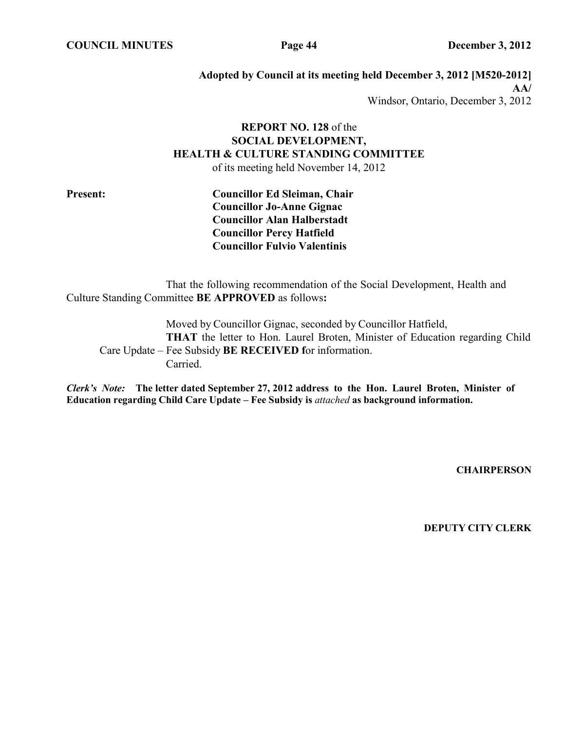**COUNCIL MINUTES Page 44 December 3, 2012**

**Adopted by Council at its meeting held December 3, 2012 [M520-2012] AA/** Windsor, Ontario, December 3, 2012

# **REPORT NO. 128** of the **SOCIAL DEVELOPMENT, HEALTH & CULTURE STANDING COMMITTEE**

of its meeting held November 14, 2012

**Present: Councillor Ed Sleiman, Chair Councillor Jo-Anne Gignac Councillor Alan Halberstadt Councillor Percy Hatfield Councillor Fulvio Valentinis**

That the following recommendation of the Social Development, Health and Culture Standing Committee **BE APPROVED** as follows**:**

Moved by Councillor Gignac, seconded by Councillor Hatfield, **THAT** the letter to Hon. Laurel Broten, Minister of Education regarding Child Care Update – Fee Subsidy **BE RECEIVED f**or information. Carried.

*Clerk's Note:* **The letter dated September 27, 2012 address to the Hon. Laurel Broten, Minister of Education regarding Child Care Update – Fee Subsidy is** *attached* **as background information.**

**CHAIRPERSON**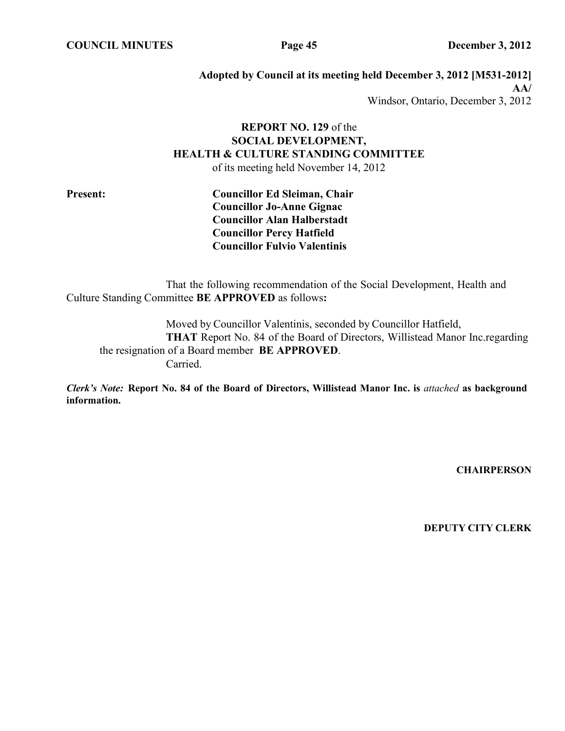**COUNCIL MINUTES Page 45 December 3, 2012**

**Adopted by Council at its meeting held December 3, 2012 [M531-2012] AA/** Windsor, Ontario, December 3, 2012

# **REPORT NO. 129** of the **SOCIAL DEVELOPMENT, HEALTH & CULTURE STANDING COMMITTEE**

of its meeting held November 14, 2012

**Present: Councillor Ed Sleiman, Chair Councillor Jo-Anne Gignac Councillor Alan Halberstadt Councillor Percy Hatfield Councillor Fulvio Valentinis**

That the following recommendation of the Social Development, Health and Culture Standing Committee **BE APPROVED** as follows**:**

Moved by Councillor Valentinis, seconded by Councillor Hatfield, **THAT** Report No. 84 of the Board of Directors, Willistead Manor Inc.regarding the resignation of a Board member **BE APPROVED**. Carried.

*Clerk's Note:* **Report No. 84 of the Board of Directors, Willistead Manor Inc. is** *attached* **as background information.**

**CHAIRPERSON**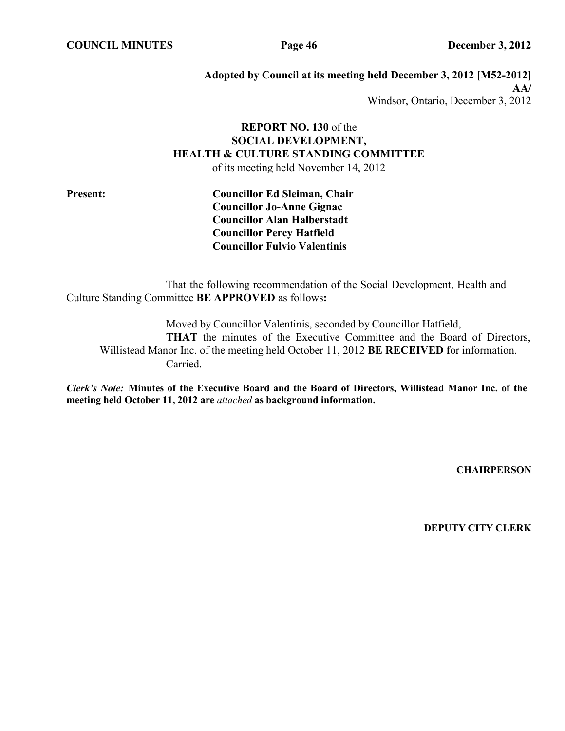**COUNCIL MINUTES Page 46 December 3, 2012**

**Adopted by Council at its meeting held December 3, 2012 [M52-2012] AA/** Windsor, Ontario, December 3, 2012

# **REPORT NO. 130** of the **SOCIAL DEVELOPMENT, HEALTH & CULTURE STANDING COMMITTEE**

of its meeting held November 14, 2012

**Present: Councillor Ed Sleiman, Chair Councillor Jo-Anne Gignac Councillor Alan Halberstadt Councillor Percy Hatfield Councillor Fulvio Valentinis**

That the following recommendation of the Social Development, Health and Culture Standing Committee **BE APPROVED** as follows**:**

Moved by Councillor Valentinis, seconded by Councillor Hatfield, **THAT** the minutes of the Executive Committee and the Board of Directors, Willistead Manor Inc. of the meeting held October 11, 2012 **BE RECEIVED f**or information. Carried.

*Clerk's Note:* **Minutes of the Executive Board and the Board of Directors, Willistead Manor Inc. of the meeting held October 11, 2012 are** *attached* **as background information.**

**CHAIRPERSON**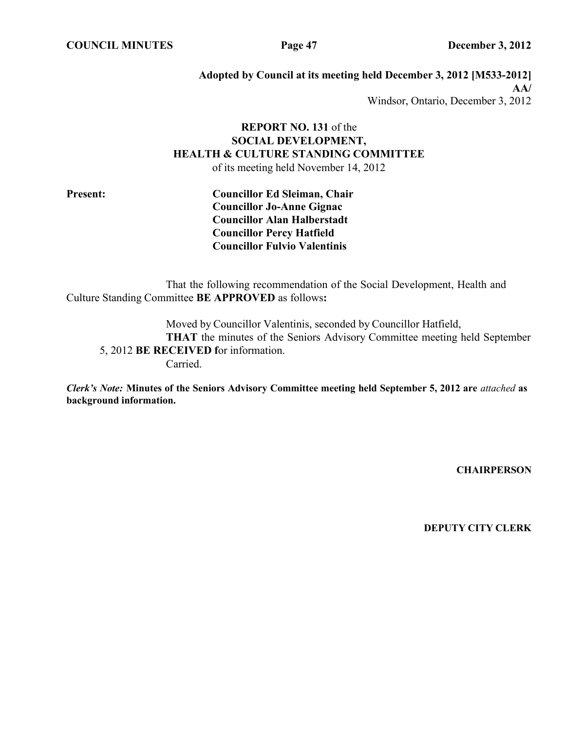**COUNCIL MINUTES Page 47 December 3, 2012**

**Adopted by Council at its meeting held December 3, 2012 [M533-2012] AA/** Windsor, Ontario, December 3, 2012

# **REPORT NO. 131** of the **SOCIAL DEVELOPMENT, HEALTH & CULTURE STANDING COMMITTEE**

of its meeting held November 14, 2012

**Present: Councillor Ed Sleiman, Chair Councillor Jo-Anne Gignac Councillor Alan Halberstadt Councillor Percy Hatfield Councillor Fulvio Valentinis**

That the following recommendation of the Social Development, Health and Culture Standing Committee **BE APPROVED** as follows**:**

Moved by Councillor Valentinis, seconded by Councillor Hatfield, **THAT** the minutes of the Seniors Advisory Committee meeting held September 5, 2012 **BE RECEIVED f**or information. Carried.

*Clerk's Note:* **Minutes of the Seniors Advisory Committee meeting held September 5, 2012 are** *attached* **as background information.**

**CHAIRPERSON**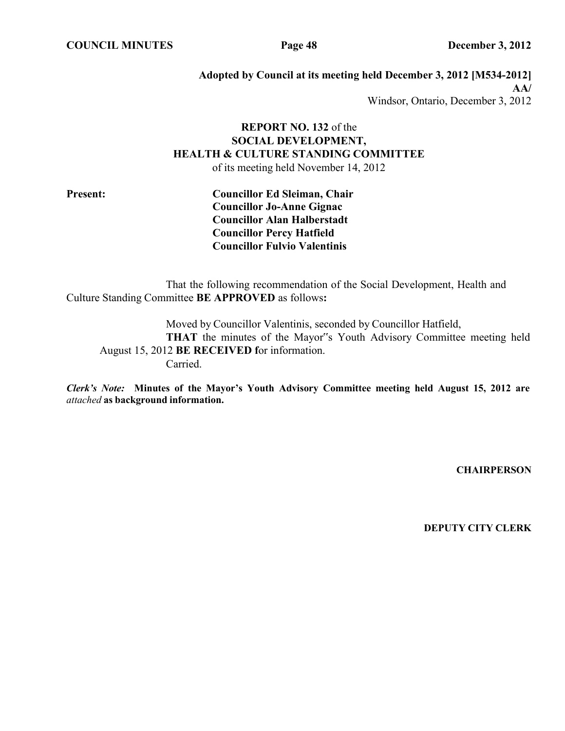**COUNCIL MINUTES Page 48 December 3, 2012**

**Adopted by Council at its meeting held December 3, 2012 [M534-2012] AA/** Windsor, Ontario, December 3, 2012

# **REPORT NO. 132** of the **SOCIAL DEVELOPMENT, HEALTH & CULTURE STANDING COMMITTEE**

of its meeting held November 14, 2012

**Present: Councillor Ed Sleiman, Chair Councillor Jo-Anne Gignac Councillor Alan Halberstadt Councillor Percy Hatfield Councillor Fulvio Valentinis**

That the following recommendation of the Social Development, Health and Culture Standing Committee **BE APPROVED** as follows**:**

Moved by Councillor Valentinis, seconded by Councillor Hatfield, **THAT** the minutes of the Mayor"s Youth Advisory Committee meeting held August 15, 2012 **BE RECEIVED f**or information. Carried.

*Clerk's Note:* **Minutes of the Mayor's Youth Advisory Committee meeting held August 15, 2012 are** *attached* **as background information.**

**CHAIRPERSON**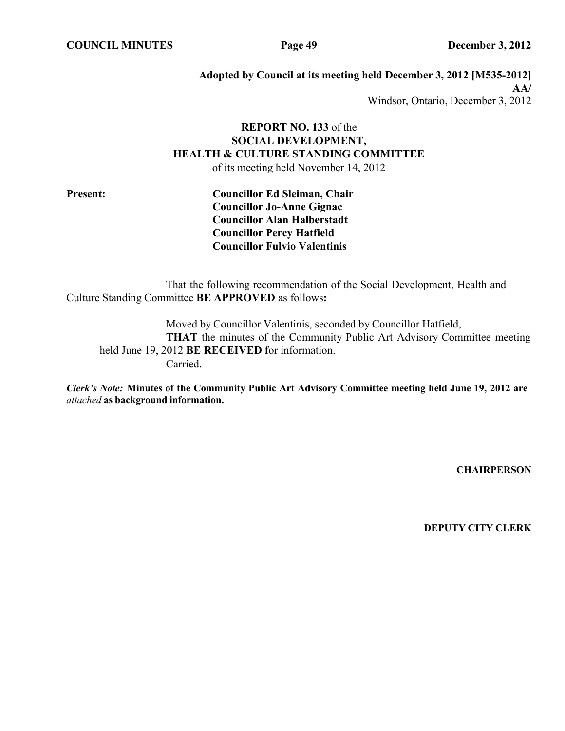**COUNCIL MINUTES Page 49 December 3, 2012**

**Adopted by Council at its meeting held December 3, 2012 [M535-2012] AA/** Windsor, Ontario, December 3, 2012

# **REPORT NO. 133** of the **SOCIAL DEVELOPMENT, HEALTH & CULTURE STANDING COMMITTEE**

of its meeting held November 14, 2012

**Present: Councillor Ed Sleiman, Chair Councillor Jo-Anne Gignac Councillor Alan Halberstadt Councillor Percy Hatfield Councillor Fulvio Valentinis**

That the following recommendation of the Social Development, Health and Culture Standing Committee **BE APPROVED** as follows**:**

Moved by Councillor Valentinis, seconded by Councillor Hatfield, **THAT** the minutes of the Community Public Art Advisory Committee meeting held June 19, 2012 **BE RECEIVED f**or information. Carried.

*Clerk's Note:* **Minutes of the Community Public Art Advisory Committee meeting held June 19, 2012 are** *attached* **as background information.**

**CHAIRPERSON**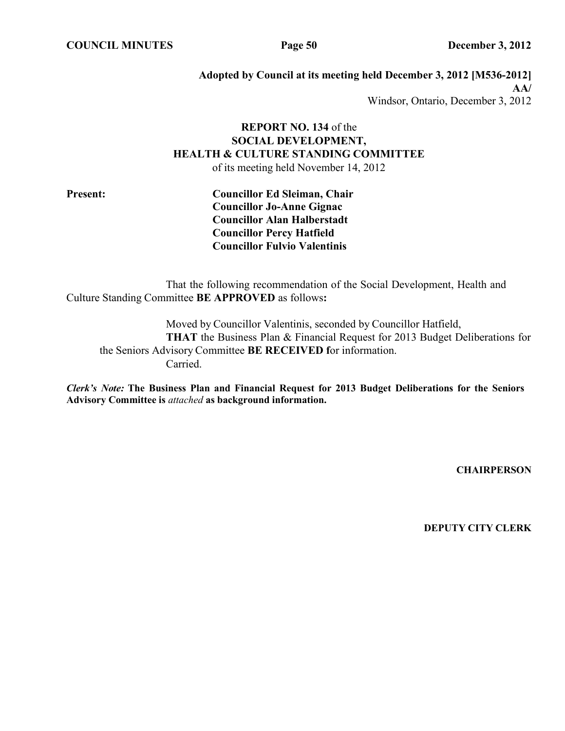**COUNCIL MINUTES Page 50 December 3, 2012**

**Adopted by Council at its meeting held December 3, 2012 [M536-2012] AA/** Windsor, Ontario, December 3, 2012

# **REPORT NO. 134** of the **SOCIAL DEVELOPMENT, HEALTH & CULTURE STANDING COMMITTEE**

of its meeting held November 14, 2012

**Present: Councillor Ed Sleiman, Chair Councillor Jo-Anne Gignac Councillor Alan Halberstadt Councillor Percy Hatfield Councillor Fulvio Valentinis**

That the following recommendation of the Social Development, Health and Culture Standing Committee **BE APPROVED** as follows**:**

Moved by Councillor Valentinis, seconded by Councillor Hatfield, **THAT** the Business Plan & Financial Request for 2013 Budget Deliberations for the Seniors Advisory Committee **BE RECEIVED f**or information. Carried.

*Clerk's Note:* **The Business Plan and Financial Request for 2013 Budget Deliberations for the Seniors Advisory Committee is** *attached* **as background information.**

**CHAIRPERSON**